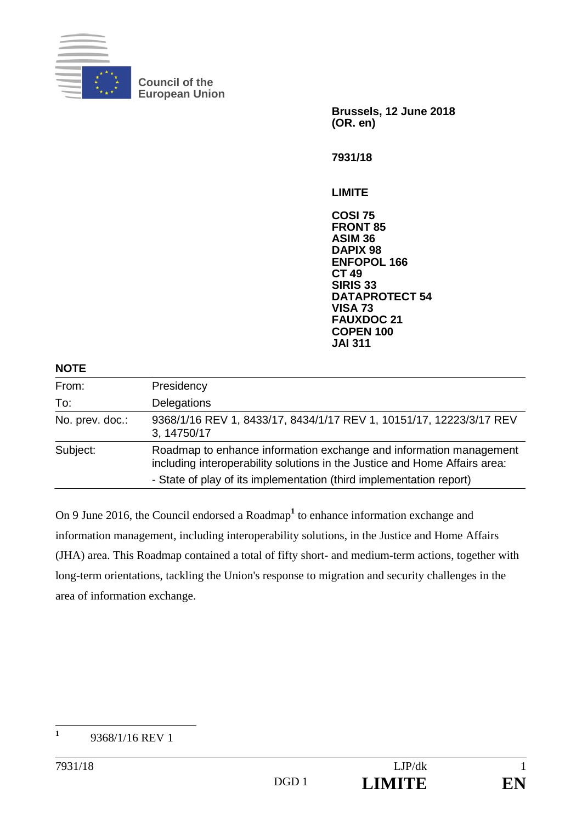

**Council of the European Union** 

**Brussels, 12 June 2018 (OR. en) 7931/18** 

**LIMITE** 

**COSI 75 FRONT 85 ASIM 36 DAPIX 98 ENFOPOL 166 CT 49 SIRIS 33 DATAPROTECT 54 VISA 73 FAUXDOC 21 COPEN 100 JAI 311**

| <b>NOTE</b>     |                                                                                                                                                  |
|-----------------|--------------------------------------------------------------------------------------------------------------------------------------------------|
| From:           | Presidency                                                                                                                                       |
| To:             | Delegations                                                                                                                                      |
| No. prev. doc.: | 9368/1/16 REV 1, 8433/17, 8434/1/17 REV 1, 10151/17, 12223/3/17 REV<br>3, 14750/17                                                               |
| Subject:        | Roadmap to enhance information exchange and information management<br>including interoperability solutions in the Justice and Home Affairs area: |
|                 | - State of play of its implementation (third implementation report)                                                                              |

On 9 June 2016, the Council endorsed a Roadmap<sup>1</sup> to enhance information exchange and information management, including interoperability solutions, in the Justice and Home Affairs (JHA) area. This Roadmap contained a total of fifty short- and medium-term actions, together with long-term orientations, tackling the Union's response to migration and security challenges in the area of information exchange.

 **1** 9368/1/16 REV 1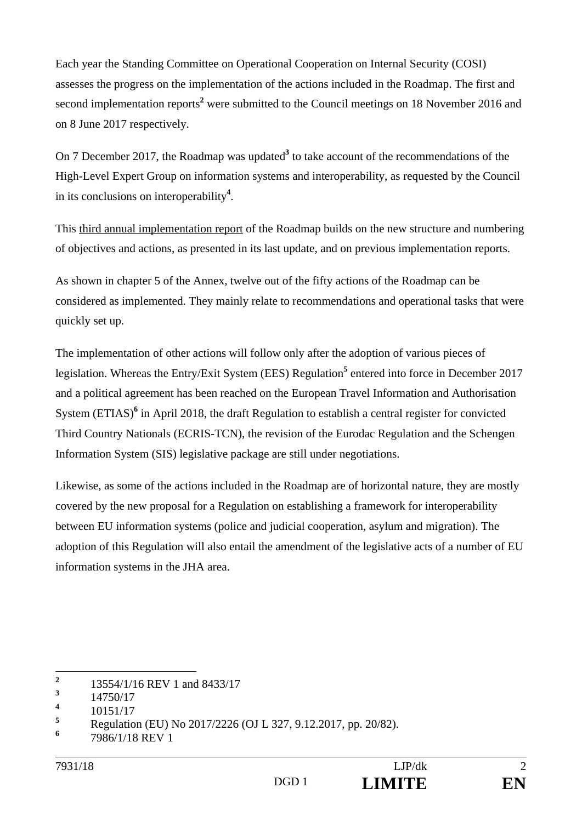Each year the Standing Committee on Operational Cooperation on Internal Security (COSI) assesses the progress on the implementation of the actions included in the Roadmap. The first and second implementation reports<sup>2</sup> were submitted to the Council meetings on 18 November 2016 and on 8 June 2017 respectively.

On 7 December 2017, the Roadmap was updated<sup>3</sup> to take account of the recommendations of the High-Level Expert Group on information systems and interoperability, as requested by the Council in its conclusions on interoperability**<sup>4</sup>** .

This third annual implementation report of the Roadmap builds on the new structure and numbering of objectives and actions, as presented in its last update, and on previous implementation reports.

As shown in chapter 5 of the Annex, twelve out of the fifty actions of the Roadmap can be considered as implemented. They mainly relate to recommendations and operational tasks that were quickly set up.

The implementation of other actions will follow only after the adoption of various pieces of legislation. Whereas the Entry/Exit System (EES) Regulation<sup>5</sup> entered into force in December 2017 and a political agreement has been reached on the European Travel Information and Authorisation System (ETIAS)<sup>6</sup> in April 2018, the draft Regulation to establish a central register for convicted Third Country Nationals (ECRIS-TCN), the revision of the Eurodac Regulation and the Schengen Information System (SIS) legislative package are still under negotiations.

Likewise, as some of the actions included in the Roadmap are of horizontal nature, they are mostly covered by the new proposal for a Regulation on establishing a framework for interoperability between EU information systems (police and judicial cooperation, asylum and migration). The adoption of this Regulation will also entail the amendment of the legislative acts of a number of EU information systems in the JHA area.

 **2** 13554/1/16 REV 1 and 8433/17

**<sup>3</sup>** 14750/17

**<sup>4</sup>** 10151/17

**<sup>5</sup>** Regulation (EU) No 2017/2226 (OJ L 327, 9.12.2017, pp. 20/82).

**<sup>6</sup>** 7986/1/18 REV 1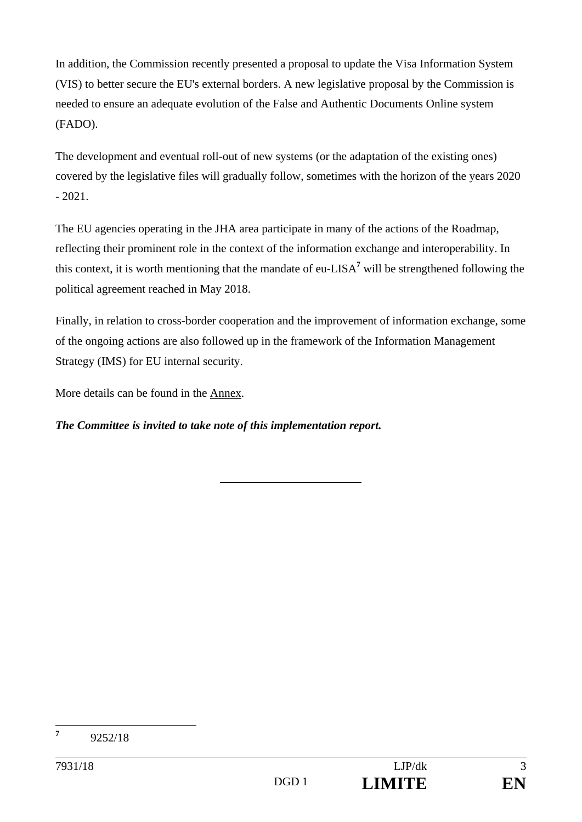In addition, the Commission recently presented a proposal to update the Visa Information System (VIS) to better secure the EU's external borders. A new legislative proposal by the Commission is needed to ensure an adequate evolution of the False and Authentic Documents Online system (FADO).

The development and eventual roll-out of new systems (or the adaptation of the existing ones) covered by the legislative files will gradually follow, sometimes with the horizon of the years 2020  $-2021.$ 

The EU agencies operating in the JHA area participate in many of the actions of the Roadmap, reflecting their prominent role in the context of the information exchange and interoperability. In this context, it is worth mentioning that the mandate of eu-LISA**<sup>7</sup>** will be strengthened following the political agreement reached in May 2018.

Finally, in relation to cross-border cooperation and the improvement of information exchange, some of the ongoing actions are also followed up in the framework of the Information Management Strategy (IMS) for EU internal security.

More details can be found in the Annex.

*The Committee is invited to take note of this implementation report.* 

 **7** 9252/18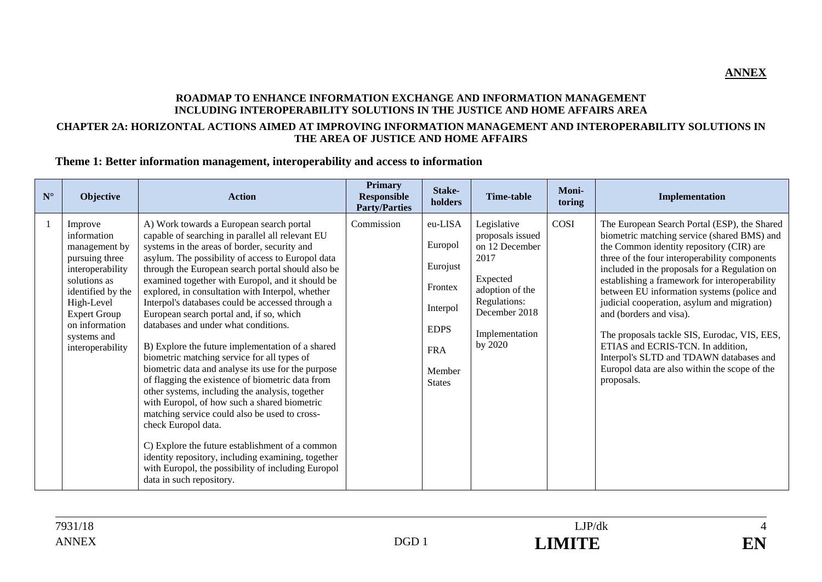#### **ROADMAP TO ENHANCE INFORMATION EXCHANGE AND INFORMATION MANAGEMENT INCLUDING INTEROPERABILITY SOLUTIONS IN THE JUSTICE AND HOME AFFAIRS AREA CHAPTER 2A: HORIZONTAL ACTIONS AIMED AT IMPROVING INFORMATION MANAGEMENT AND INTEROPERABILITY SOLUTIONS IN THE AREA OF JUSTICE AND HOME AFFAIRS**

#### **Theme 1: Better information management, interoperability and access to information**

| $\mathbf{N}^\circ$ | Objective                                                                                                                                                                                                    | <b>Action</b>                                                                                                                                                                                                                                                                                                                                                                                                                                                                                                                                                                                                                                                                                                                                                                                                                                                                                                                                                                                                                                                                             | <b>Primary</b><br>Responsible<br><b>Party/Parties</b> | Stake-<br>holders                                                                                             | <b>Time-table</b>                                                                                                                                      | Moni-<br>toring | Implementation                                                                                                                                                                                                                                                                                                                                                                                                                                                                                                                                                                                                    |
|--------------------|--------------------------------------------------------------------------------------------------------------------------------------------------------------------------------------------------------------|-------------------------------------------------------------------------------------------------------------------------------------------------------------------------------------------------------------------------------------------------------------------------------------------------------------------------------------------------------------------------------------------------------------------------------------------------------------------------------------------------------------------------------------------------------------------------------------------------------------------------------------------------------------------------------------------------------------------------------------------------------------------------------------------------------------------------------------------------------------------------------------------------------------------------------------------------------------------------------------------------------------------------------------------------------------------------------------------|-------------------------------------------------------|---------------------------------------------------------------------------------------------------------------|--------------------------------------------------------------------------------------------------------------------------------------------------------|-----------------|-------------------------------------------------------------------------------------------------------------------------------------------------------------------------------------------------------------------------------------------------------------------------------------------------------------------------------------------------------------------------------------------------------------------------------------------------------------------------------------------------------------------------------------------------------------------------------------------------------------------|
| $\mathbf{1}$       | Improve<br>information<br>management by<br>pursuing three<br>interoperability<br>solutions as<br>identified by the<br>High-Level<br><b>Expert Group</b><br>on information<br>systems and<br>interoperability | A) Work towards a European search portal<br>capable of searching in parallel all relevant EU<br>systems in the areas of border, security and<br>asylum. The possibility of access to Europol data<br>through the European search portal should also be<br>examined together with Europol, and it should be<br>explored, in consultation with Interpol, whether<br>Interpol's databases could be accessed through a<br>European search portal and, if so, which<br>databases and under what conditions.<br>B) Explore the future implementation of a shared<br>biometric matching service for all types of<br>biometric data and analyse its use for the purpose<br>of flagging the existence of biometric data from<br>other systems, including the analysis, together<br>with Europol, of how such a shared biometric<br>matching service could also be used to cross-<br>check Europol data.<br>C) Explore the future establishment of a common<br>identity repository, including examining, together<br>with Europol, the possibility of including Europol<br>data in such repository. | Commission                                            | eu-LISA<br>Europol<br>Eurojust<br>Frontex<br>Interpol<br><b>EDPS</b><br><b>FRA</b><br>Member<br><b>States</b> | Legislative<br>proposals issued<br>on 12 December<br>2017<br>Expected<br>adoption of the<br>Regulations:<br>December 2018<br>Implementation<br>by 2020 | COSI            | The European Search Portal (ESP), the Shared<br>biometric matching service (shared BMS) and<br>the Common identity repository (CIR) are<br>three of the four interoperability components<br>included in the proposals for a Regulation on<br>establishing a framework for interoperability<br>between EU information systems (police and<br>judicial cooperation, asylum and migration)<br>and (borders and visa).<br>The proposals tackle SIS, Eurodac, VIS, EES,<br>ETIAS and ECRIS-TCN. In addition,<br>Interpol's SLTD and TDAWN databases and<br>Europol data are also within the scope of the<br>proposals. |

**ANNEX**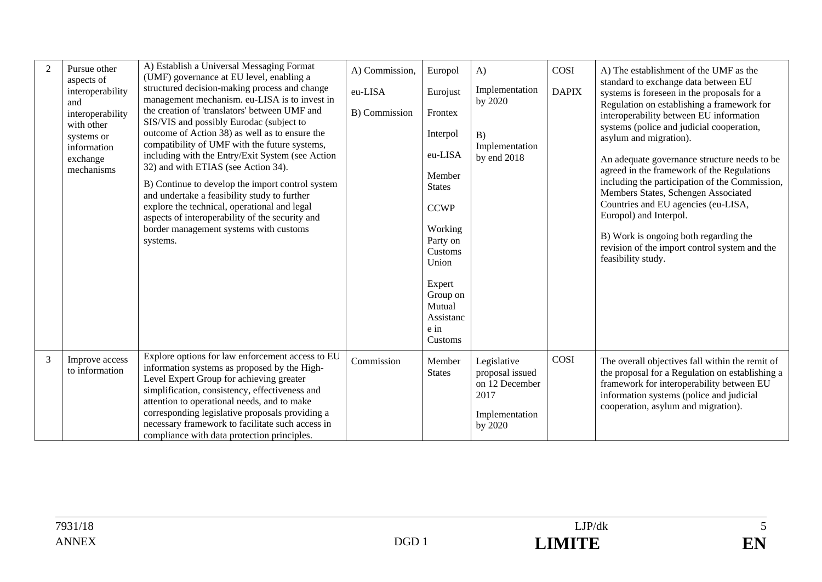| $\overline{2}$ | Pursue other<br>aspects of<br>interoperability<br>and<br>interoperability<br>with other<br>systems or<br>information<br>exchange<br>mechanisms | A) Establish a Universal Messaging Format<br>(UMF) governance at EU level, enabling a<br>structured decision-making process and change<br>management mechanism. eu-LISA is to invest in<br>the creation of 'translators' between UMF and<br>SIS/VIS and possibly Eurodac (subject to<br>outcome of Action 38) as well as to ensure the<br>compatibility of UMF with the future systems,<br>including with the Entry/Exit System (see Action<br>32) and with ETIAS (see Action 34).<br>B) Continue to develop the import control system<br>and undertake a feasibility study to further<br>explore the technical, operational and legal<br>aspects of interoperability of the security and<br>border management systems with customs<br>systems. | A) Commission,<br>eu-LISA<br>B) Commission | Europol<br>Eurojust<br>Frontex<br>Interpol<br>eu-LISA<br>Member<br><b>States</b><br><b>CCWP</b><br>Working<br>Party on<br>Customs<br>Union<br>Expert<br>Group on<br>Mutual<br>Assistanc<br>e in<br>Customs | $\bf{A}$<br>Implementation<br>by 2020<br>B)<br>Implementation<br>by end 2018          | COSI<br><b>DAPIX</b> | A) The establishment of the UMF as the<br>standard to exchange data between EU<br>systems is foreseen in the proposals for a<br>Regulation on establishing a framework for<br>interoperability between EU information<br>systems (police and judicial cooperation,<br>asylum and migration).<br>An adequate governance structure needs to be<br>agreed in the framework of the Regulations<br>including the participation of the Commission,<br>Members States, Schengen Associated<br>Countries and EU agencies (eu-LISA,<br>Europol) and Interpol.<br>B) Work is ongoing both regarding the<br>revision of the import control system and the<br>feasibility study. |
|----------------|------------------------------------------------------------------------------------------------------------------------------------------------|-------------------------------------------------------------------------------------------------------------------------------------------------------------------------------------------------------------------------------------------------------------------------------------------------------------------------------------------------------------------------------------------------------------------------------------------------------------------------------------------------------------------------------------------------------------------------------------------------------------------------------------------------------------------------------------------------------------------------------------------------|--------------------------------------------|------------------------------------------------------------------------------------------------------------------------------------------------------------------------------------------------------------|---------------------------------------------------------------------------------------|----------------------|----------------------------------------------------------------------------------------------------------------------------------------------------------------------------------------------------------------------------------------------------------------------------------------------------------------------------------------------------------------------------------------------------------------------------------------------------------------------------------------------------------------------------------------------------------------------------------------------------------------------------------------------------------------------|
| 3              | Improve access<br>to information                                                                                                               | Explore options for law enforcement access to EU<br>information systems as proposed by the High-<br>Level Expert Group for achieving greater<br>simplification, consistency, effectiveness and<br>attention to operational needs, and to make<br>corresponding legislative proposals providing a<br>necessary framework to facilitate such access in<br>compliance with data protection principles.                                                                                                                                                                                                                                                                                                                                             | Commission                                 | Member<br><b>States</b>                                                                                                                                                                                    | Legislative<br>proposal issued<br>on 12 December<br>2017<br>Implementation<br>by 2020 | COSI                 | The overall objectives fall within the remit of<br>the proposal for a Regulation on establishing a<br>framework for interoperability between EU<br>information systems (police and judicial<br>cooperation, asylum and migration).                                                                                                                                                                                                                                                                                                                                                                                                                                   |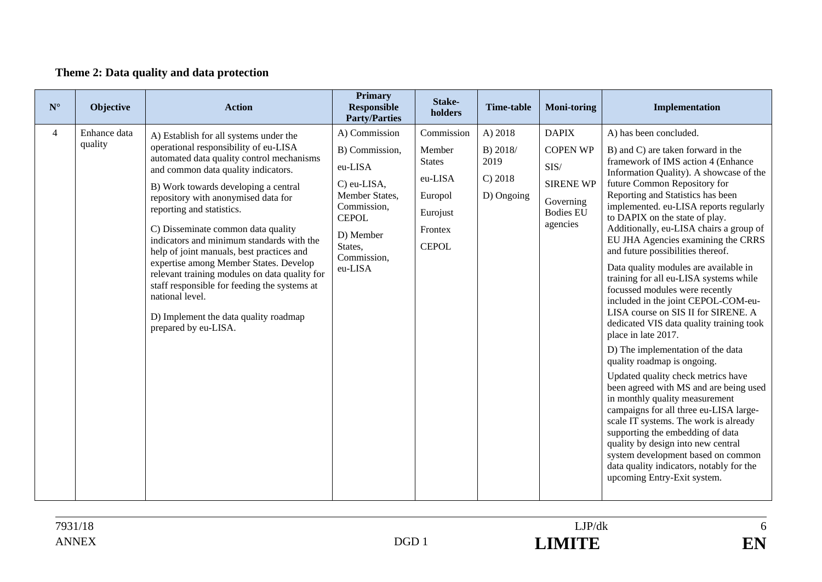## **Theme 2: Data quality and data protection**

| Enhance data<br>A) 2018<br><b>DAPIX</b><br>$\overline{4}$<br>A) Commission<br>Commission<br>A) has been concluded.<br>A) Establish for all systems under the                                                                                                                                                                                                                                                                                                                                                                                                                                                                                                                                                                                                                                                                                                                                                                           | Implementation                                                                                                                                                                                                                                                                                                                                                                                                                                                                                                                                                                                                                                                                                                                                                                                                                                                                                                                                                                                                                                                                 | <b>Moni-toring</b> | <b>Time-table</b> | Stake-<br>holders | <b>Primary</b><br><b>Responsible</b><br><b>Party/Parties</b> | <b>Action</b>                         | Objective | $\mathbf{N}^\circ$ |
|----------------------------------------------------------------------------------------------------------------------------------------------------------------------------------------------------------------------------------------------------------------------------------------------------------------------------------------------------------------------------------------------------------------------------------------------------------------------------------------------------------------------------------------------------------------------------------------------------------------------------------------------------------------------------------------------------------------------------------------------------------------------------------------------------------------------------------------------------------------------------------------------------------------------------------------|--------------------------------------------------------------------------------------------------------------------------------------------------------------------------------------------------------------------------------------------------------------------------------------------------------------------------------------------------------------------------------------------------------------------------------------------------------------------------------------------------------------------------------------------------------------------------------------------------------------------------------------------------------------------------------------------------------------------------------------------------------------------------------------------------------------------------------------------------------------------------------------------------------------------------------------------------------------------------------------------------------------------------------------------------------------------------------|--------------------|-------------------|-------------------|--------------------------------------------------------------|---------------------------------------|-----------|--------------------|
| automated data quality control mechanisms<br>2019<br><b>States</b><br>SIS/<br>eu-LISA<br>and common data quality indicators.<br>C) 2018<br>eu-LISA<br><b>SIRENE WP</b><br>C) eu-LISA,<br>B) Work towards developing a central<br>D) Ongoing<br>Member States,<br>Europol<br>repository with anonymised data for<br>Governing<br>Commission,<br>reporting and statistics.<br><b>Bodies EU</b><br>Eurojust<br><b>CEPOL</b><br>agencies<br>C) Disseminate common data quality<br>Frontex<br>D) Member<br>indicators and minimum standards with the<br>States,<br><b>CEPOL</b><br>help of joint manuals, best practices and<br>Commission,<br>expertise among Member States. Develop<br>eu-LISA<br>relevant training modules on data quality for<br>staff responsible for feeding the systems at<br>national level.<br>D) Implement the data quality roadmap<br>prepared by eu-LISA.<br>place in late 2017.<br>quality roadmap is ongoing. | B) and C) are taken forward in the<br>framework of IMS action 4 (Enhance<br>Information Quality). A showcase of the<br>future Common Repository for<br>Reporting and Statistics has been<br>implemented. eu-LISA reports regularly<br>to DAPIX on the state of play.<br>Additionally, eu-LISA chairs a group of<br>EU JHA Agencies examining the CRRS<br>and future possibilities thereof.<br>Data quality modules are available in<br>training for all eu-LISA systems while<br>focussed modules were recently<br>included in the joint CEPOL-COM-eu-<br>LISA course on SIS II for SIRENE. A<br>dedicated VIS data quality training took<br>D) The implementation of the data<br>Updated quality check metrics have<br>been agreed with MS and are being used<br>in monthly quality measurement<br>campaigns for all three eu-LISA large-<br>scale IT systems. The work is already<br>supporting the embedding of data<br>quality by design into new central<br>system development based on common<br>data quality indicators, notably for the<br>upcoming Entry-Exit system. | <b>COPEN WP</b>    | B) 2018/          | Member            | B) Commission,                                               | operational responsibility of eu-LISA | quality   |                    |

 $1.18$  LJP/dk  $1.18$ ANNEX DGD 1 **LIMITE** 

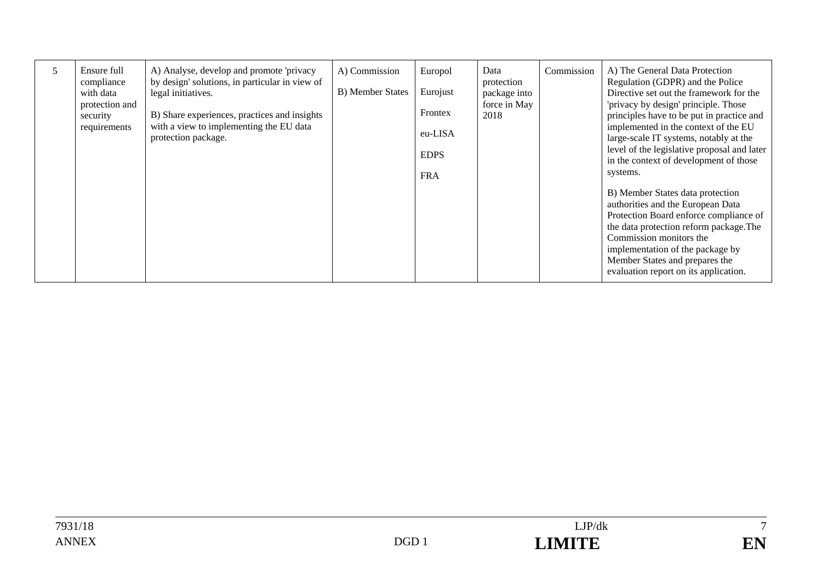| 5 | Ensure full<br>compliance<br>with data<br>protection and<br>security<br>requirements | A) Analyse, develop and promote 'privacy<br>by design' solutions, in particular in view of<br>legal initiatives.<br>B) Share experiences, practices and insights<br>with a view to implementing the EU data<br>protection package. | A) Commission<br><b>B</b> ) Member States | Europol<br>Eurojust<br>Frontex<br>eu-LISA<br><b>EDPS</b><br><b>FRA</b> | Data<br>protection<br>package into<br>force in May<br>2018 | Commission | A) The General Data Protection<br>Regulation (GDPR) and the Police<br>Directive set out the framework for the<br>'privacy by design' principle. Those<br>principles have to be put in practice and<br>implemented in the context of the EU<br>large-scale IT systems, notably at the<br>level of the legislative proposal and later<br>in the context of development of those<br>systems.<br>B) Member States data protection<br>authorities and the European Data<br>Protection Board enforce compliance of<br>the data protection reform package. The<br>Commission monitors the<br>implementation of the package by |
|---|--------------------------------------------------------------------------------------|------------------------------------------------------------------------------------------------------------------------------------------------------------------------------------------------------------------------------------|-------------------------------------------|------------------------------------------------------------------------|------------------------------------------------------------|------------|------------------------------------------------------------------------------------------------------------------------------------------------------------------------------------------------------------------------------------------------------------------------------------------------------------------------------------------------------------------------------------------------------------------------------------------------------------------------------------------------------------------------------------------------------------------------------------------------------------------------|
|   |                                                                                      |                                                                                                                                                                                                                                    |                                           |                                                                        |                                                            |            | Member States and prepares the<br>evaluation report on its application.                                                                                                                                                                                                                                                                                                                                                                                                                                                                                                                                                |

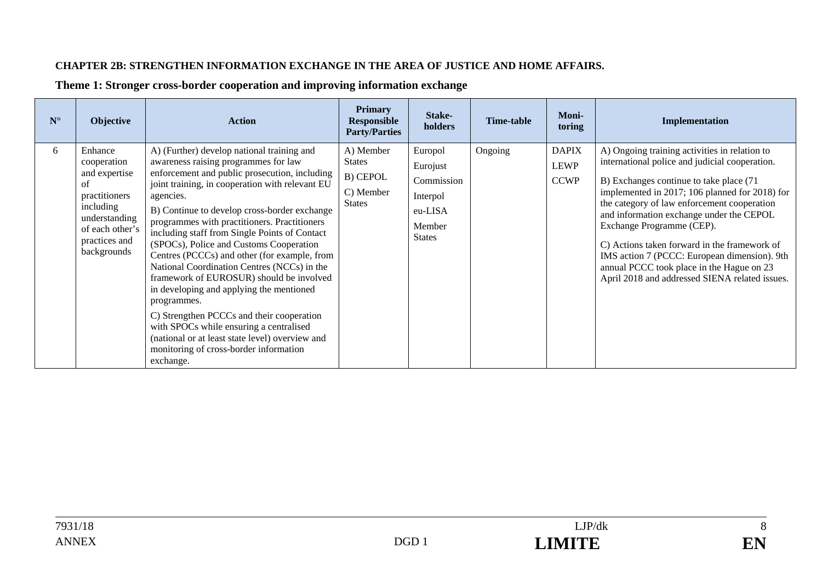#### **CHAPTER 2B: STRENGTHEN INFORMATION EXCHANGE IN THE AREA OF JUSTICE AND HOME AFFAIRS.**

| $N^{\circ}$ | Objective                                                                                                                                       | <b>Action</b>                                                                                                                                                                                                                                                                                                                                                                                                                                                                                                                                                                                                                                                                                                                                                                                           | <b>Primary</b><br><b>Responsible</b><br><b>Party/Parties</b>         | Stake-<br>holders                                                                   | <b>Time-table</b> | <b>Moni-</b><br>toring                     | Implementation                                                                                                                                                                                                                                                                                                                                                                                                                                                                                                      |
|-------------|-------------------------------------------------------------------------------------------------------------------------------------------------|---------------------------------------------------------------------------------------------------------------------------------------------------------------------------------------------------------------------------------------------------------------------------------------------------------------------------------------------------------------------------------------------------------------------------------------------------------------------------------------------------------------------------------------------------------------------------------------------------------------------------------------------------------------------------------------------------------------------------------------------------------------------------------------------------------|----------------------------------------------------------------------|-------------------------------------------------------------------------------------|-------------------|--------------------------------------------|---------------------------------------------------------------------------------------------------------------------------------------------------------------------------------------------------------------------------------------------------------------------------------------------------------------------------------------------------------------------------------------------------------------------------------------------------------------------------------------------------------------------|
| 6           | Enhance<br>cooperation<br>and expertise<br>of<br>practitioners<br>including<br>understanding<br>of each other's<br>practices and<br>backgrounds | A) (Further) develop national training and<br>awareness raising programmes for law<br>enforcement and public prosecution, including<br>joint training, in cooperation with relevant EU<br>agencies.<br>B) Continue to develop cross-border exchange<br>programmes with practitioners. Practitioners<br>including staff from Single Points of Contact<br>(SPOCs), Police and Customs Cooperation<br>Centres (PCCCs) and other (for example, from<br>National Coordination Centres (NCCs) in the<br>framework of EUROSUR) should be involved<br>in developing and applying the mentioned<br>programmes.<br>C) Strengthen PCCCs and their cooperation<br>with SPOCs while ensuring a centralised<br>(national or at least state level) overview and<br>monitoring of cross-border information<br>exchange. | A) Member<br><b>States</b><br>B) CEPOL<br>C) Member<br><b>States</b> | Europol<br>Eurojust<br>Commission<br>Interpol<br>eu-LISA<br>Member<br><b>States</b> | Ongoing           | <b>DAPIX</b><br><b>LEWP</b><br><b>CCWP</b> | A) Ongoing training activities in relation to<br>international police and judicial cooperation.<br>B) Exchanges continue to take place (71<br>implemented in 2017; 106 planned for 2018) for<br>the category of law enforcement cooperation<br>and information exchange under the CEPOL<br>Exchange Programme (CEP).<br>C) Actions taken forward in the framework of<br>IMS action 7 (PCCC: European dimension). 9th<br>annual PCCC took place in the Hague on 23<br>April 2018 and addressed SIENA related issues. |

**Theme 1: Stronger cross-border cooperation and improving information exchange**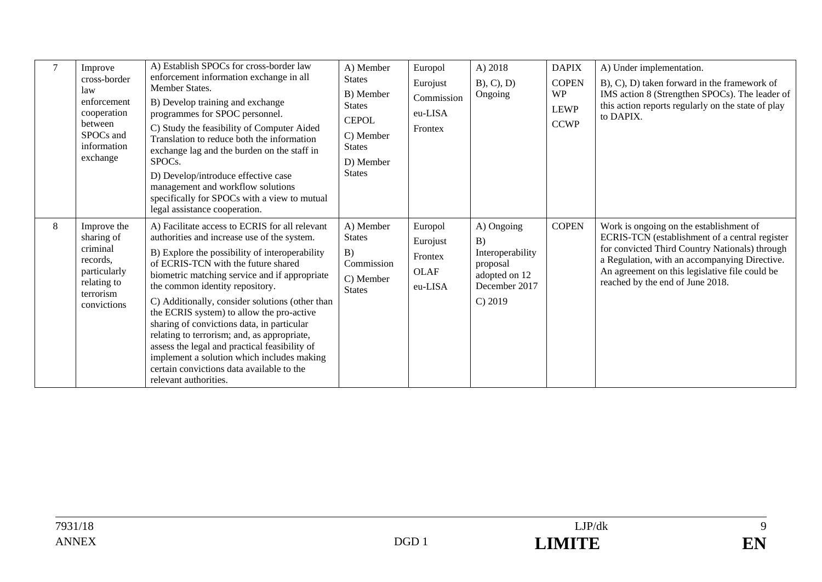| $\overline{7}$ | Improve<br>cross-border<br>law<br>enforcement<br>cooperation<br>between<br>SPOCs and<br>information<br>exchange | A) Establish SPOCs for cross-border law<br>enforcement information exchange in all<br>Member States.<br>B) Develop training and exchange<br>programmes for SPOC personnel.<br>C) Study the feasibility of Computer Aided<br>Translation to reduce both the information<br>exchange lag and the burden on the staff in<br>SPOCs.<br>D) Develop/introduce effective case<br>management and workflow solutions<br>specifically for SPOCs with a view to mutual<br>legal assistance cooperation.                                                                                                                                                 | A) Member<br><b>States</b><br>B) Member<br><b>States</b><br><b>CEPOL</b><br>C) Member<br><b>States</b><br>D) Member<br><b>States</b> | Europol<br>Eurojust<br>Commission<br>eu-LISA<br>Frontex  | A) 2018<br>$B$ , $C$ , $D$ )<br>Ongoing                                                       | <b>DAPIX</b><br><b>COPEN</b><br><b>WP</b><br><b>LEWP</b><br><b>CCWP</b> | A) Under implementation.<br>B), C), D) taken forward in the framework of<br>IMS action 8 (Strengthen SPOCs). The leader of<br>this action reports regularly on the state of play<br>to DAPIX.                                                                                      |
|----------------|-----------------------------------------------------------------------------------------------------------------|----------------------------------------------------------------------------------------------------------------------------------------------------------------------------------------------------------------------------------------------------------------------------------------------------------------------------------------------------------------------------------------------------------------------------------------------------------------------------------------------------------------------------------------------------------------------------------------------------------------------------------------------|--------------------------------------------------------------------------------------------------------------------------------------|----------------------------------------------------------|-----------------------------------------------------------------------------------------------|-------------------------------------------------------------------------|------------------------------------------------------------------------------------------------------------------------------------------------------------------------------------------------------------------------------------------------------------------------------------|
| 8              | Improve the<br>sharing of<br>criminal<br>records.<br>particularly<br>relating to<br>terrorism<br>convictions    | A) Facilitate access to ECRIS for all relevant<br>authorities and increase use of the system.<br>B) Explore the possibility of interoperability<br>of ECRIS-TCN with the future shared<br>biometric matching service and if appropriate<br>the common identity repository.<br>C) Additionally, consider solutions (other than<br>the ECRIS system) to allow the pro-active<br>sharing of convictions data, in particular<br>relating to terrorism; and, as appropriate,<br>assess the legal and practical feasibility of<br>implement a solution which includes making<br>certain convictions data available to the<br>relevant authorities. | A) Member<br><b>States</b><br>B)<br>Commission<br>C) Member<br><b>States</b>                                                         | Europol<br>Eurojust<br>Frontex<br><b>OLAF</b><br>eu-LISA | A) Ongoing<br>B)<br>Interoperability<br>proposal<br>adopted on 12<br>December 2017<br>C) 2019 | <b>COPEN</b>                                                            | Work is ongoing on the establishment of<br>ECRIS-TCN (establishment of a central register<br>for convicted Third Country Nationals) through<br>a Regulation, with an accompanying Directive.<br>An agreement on this legislative file could be<br>reached by the end of June 2018. |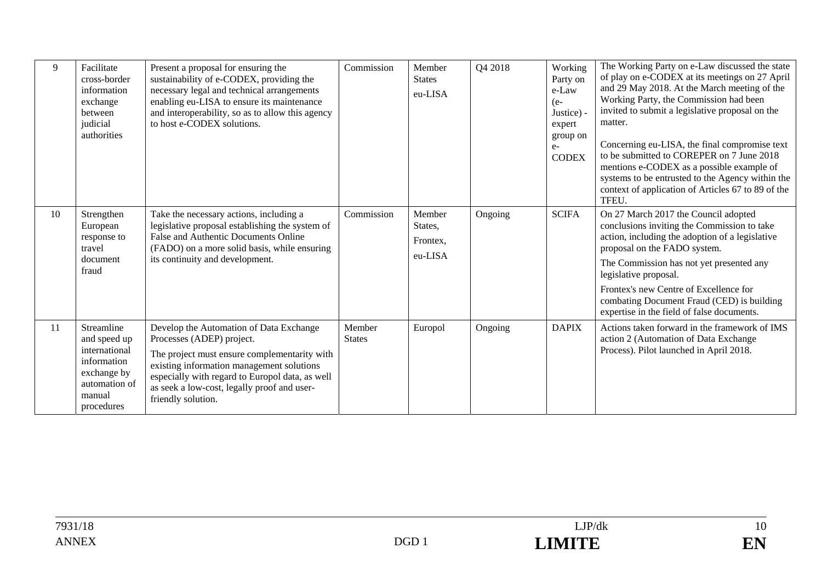| 9  | Facilitate<br>cross-border<br>information<br>exchange<br>between<br>judicial<br>authorities                        | Present a proposal for ensuring the<br>sustainability of e-CODEX, providing the<br>necessary legal and technical arrangements<br>enabling eu-LISA to ensure its maintenance<br>and interoperability, so as to allow this agency<br>to host e-CODEX solutions.                             | Commission              | Member<br><b>States</b><br>eu-LISA       | Q4 2018 | Working<br>Party on<br>e-Law<br>$(e-$<br>Justice) -<br>expert<br>group on<br>$e-$<br><b>CODEX</b> | The Working Party on e-Law discussed the state<br>of play on e-CODEX at its meetings on 27 April<br>and 29 May 2018. At the March meeting of the<br>Working Party, the Commission had been<br>invited to submit a legislative proposal on the<br>matter.<br>Concerning eu-LISA, the final compromise text<br>to be submitted to COREPER on 7 June 2018<br>mentions e-CODEX as a possible example of<br>systems to be entrusted to the Agency within the<br>context of application of Articles 67 to 89 of the<br>TFEU. |
|----|--------------------------------------------------------------------------------------------------------------------|-------------------------------------------------------------------------------------------------------------------------------------------------------------------------------------------------------------------------------------------------------------------------------------------|-------------------------|------------------------------------------|---------|---------------------------------------------------------------------------------------------------|------------------------------------------------------------------------------------------------------------------------------------------------------------------------------------------------------------------------------------------------------------------------------------------------------------------------------------------------------------------------------------------------------------------------------------------------------------------------------------------------------------------------|
| 10 | Strengthen<br>European<br>response to<br>travel<br>document<br>fraud                                               | Take the necessary actions, including a<br>legislative proposal establishing the system of<br>False and Authentic Documents Online<br>(FADO) on a more solid basis, while ensuring<br>its continuity and development.                                                                     | Commission              | Member<br>States,<br>Frontex,<br>eu-LISA | Ongoing | <b>SCIFA</b>                                                                                      | On 27 March 2017 the Council adopted<br>conclusions inviting the Commission to take<br>action, including the adoption of a legislative<br>proposal on the FADO system.<br>The Commission has not yet presented any<br>legislative proposal.<br>Frontex's new Centre of Excellence for<br>combating Document Fraud (CED) is building<br>expertise in the field of false documents.                                                                                                                                      |
| 11 | Streamline<br>and speed up<br>international<br>information<br>exchange by<br>automation of<br>manual<br>procedures | Develop the Automation of Data Exchange<br>Processes (ADEP) project.<br>The project must ensure complementarity with<br>existing information management solutions<br>especially with regard to Europol data, as well<br>as seek a low-cost, legally proof and user-<br>friendly solution. | Member<br><b>States</b> | Europol                                  | Ongoing | <b>DAPIX</b>                                                                                      | Actions taken forward in the framework of IMS<br>action 2 (Automation of Data Exchange<br>Process). Pilot launched in April 2018.                                                                                                                                                                                                                                                                                                                                                                                      |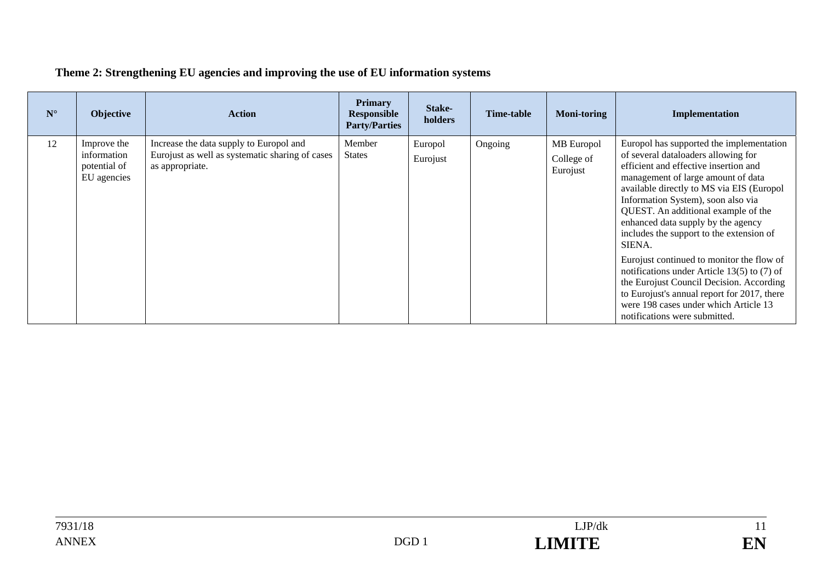| $N^{\circ}$ | <b>Objective</b>                                          | <b>Action</b>                                                                                                 | <b>Primary</b><br><b>Responsible</b><br><b>Party/Parties</b> | Stake-<br>holders   | <b>Time-table</b> | <b>Moni-toring</b>                   | Implementation                                                                                                                                                                                                                                                                                                                                                                       |
|-------------|-----------------------------------------------------------|---------------------------------------------------------------------------------------------------------------|--------------------------------------------------------------|---------------------|-------------------|--------------------------------------|--------------------------------------------------------------------------------------------------------------------------------------------------------------------------------------------------------------------------------------------------------------------------------------------------------------------------------------------------------------------------------------|
| 12          | Improve the<br>information<br>potential of<br>EU agencies | Increase the data supply to Europol and<br>Eurojust as well as systematic sharing of cases<br>as appropriate. | Member<br><b>States</b>                                      | Europol<br>Eurojust | Ongoing           | MB Europol<br>College of<br>Eurojust | Europol has supported the implementation<br>of several dataloaders allowing for<br>efficient and effective insertion and<br>management of large amount of data<br>available directly to MS via EIS (Europol<br>Information System), soon also via<br>QUEST. An additional example of the<br>enhanced data supply by the agency<br>includes the support to the extension of<br>SIENA. |
|             |                                                           |                                                                                                               |                                                              |                     |                   |                                      | Eurojust continued to monitor the flow of<br>notifications under Article 13(5) to $(7)$ of<br>the Eurojust Council Decision. According<br>to Eurojust's annual report for 2017, there<br>were 198 cases under which Article 13<br>notifications were submitted.                                                                                                                      |

## **Theme 2: Strengthening EU agencies and improving the use of EU information systems**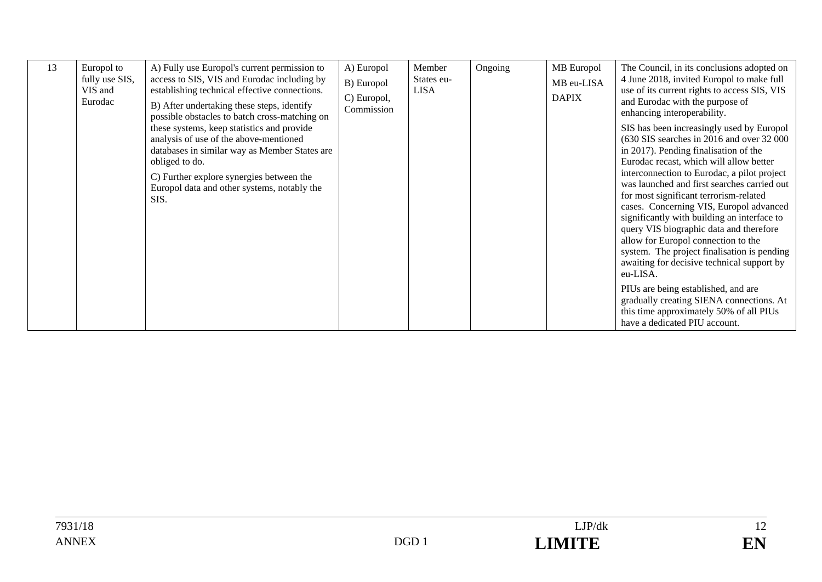| 13 | Europol to<br>fully use SIS,<br>VIS and<br>Eurodac | A) Fully use Europol's current permission to<br>access to SIS, VIS and Eurodac including by<br>establishing technical effective connections.<br>B) After undertaking these steps, identify<br>possible obstacles to batch cross-matching on | A) Europol<br>B) Europol<br>C) Europol,<br>Commission | Member<br>States eu-<br><b>LISA</b> | Ongoing | MB Europol<br>MB eu-LISA<br><b>DAPIX</b> | The Council, in its conclusions adopted on<br>4 June 2018, invited Europol to make full<br>use of its current rights to access SIS, VIS<br>and Eurodac with the purpose of<br>enhancing interoperability.                                                                                                                                                                                                                 |
|----|----------------------------------------------------|---------------------------------------------------------------------------------------------------------------------------------------------------------------------------------------------------------------------------------------------|-------------------------------------------------------|-------------------------------------|---------|------------------------------------------|---------------------------------------------------------------------------------------------------------------------------------------------------------------------------------------------------------------------------------------------------------------------------------------------------------------------------------------------------------------------------------------------------------------------------|
|    |                                                    | these systems, keep statistics and provide<br>analysis of use of the above-mentioned<br>databases in similar way as Member States are<br>obliged to do.                                                                                     |                                                       |                                     |         |                                          | SIS has been increasingly used by Europol<br>(630 SIS searches in 2016 and over 32 000<br>in 2017). Pending finalisation of the<br>Eurodac recast, which will allow better                                                                                                                                                                                                                                                |
|    |                                                    | C) Further explore synergies between the<br>Europol data and other systems, notably the<br>SIS.                                                                                                                                             |                                                       |                                     |         |                                          | interconnection to Eurodac, a pilot project<br>was launched and first searches carried out<br>for most significant terrorism-related<br>cases. Concerning VIS, Europol advanced<br>significantly with building an interface to<br>query VIS biographic data and therefore<br>allow for Europol connection to the<br>system. The project finalisation is pending<br>awaiting for decisive technical support by<br>eu-LISA. |
|    |                                                    |                                                                                                                                                                                                                                             |                                                       |                                     |         |                                          | PIUs are being established, and are<br>gradually creating SIENA connections. At<br>this time approximately 50% of all PIUs<br>have a dedicated PIU account.                                                                                                                                                                                                                                                               |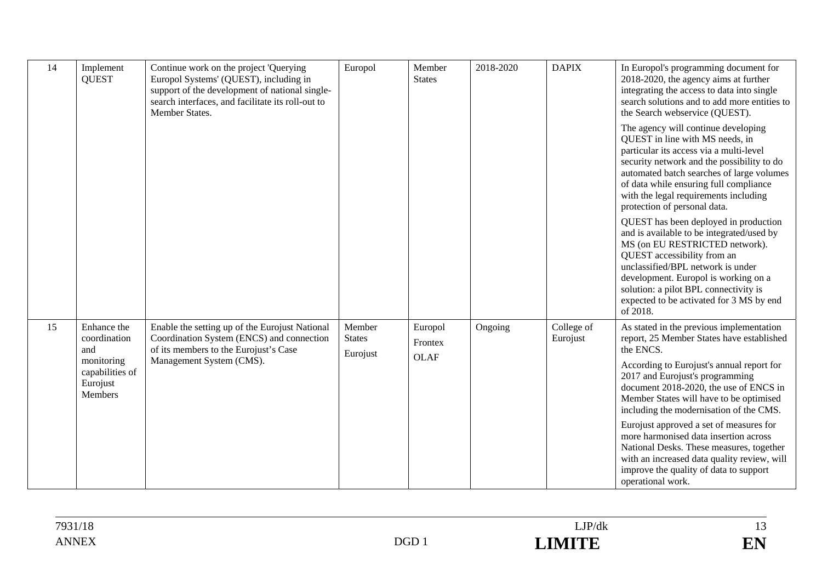| 14 | Implement<br><b>QUEST</b>                                                                  | Continue work on the project 'Querying<br>Europol Systems' (QUEST), including in<br>support of the development of national single-<br>search interfaces, and facilitate its roll-out to<br>Member States. | Europol                             | Member<br><b>States</b>           | 2018-2020 | <b>DAPIX</b>           | In Europol's programming document for<br>2018-2020, the agency aims at further<br>integrating the access to data into single<br>search solutions and to add more entities to<br>the Search webservice (QUEST).<br>The agency will continue developing<br>QUEST in line with MS needs, in<br>particular its access via a multi-level<br>security network and the possibility to do<br>automated batch searches of large volumes<br>of data while ensuring full compliance                          |
|----|--------------------------------------------------------------------------------------------|-----------------------------------------------------------------------------------------------------------------------------------------------------------------------------------------------------------|-------------------------------------|-----------------------------------|-----------|------------------------|---------------------------------------------------------------------------------------------------------------------------------------------------------------------------------------------------------------------------------------------------------------------------------------------------------------------------------------------------------------------------------------------------------------------------------------------------------------------------------------------------|
|    |                                                                                            |                                                                                                                                                                                                           |                                     |                                   |           |                        | with the legal requirements including<br>protection of personal data.<br>QUEST has been deployed in production<br>and is available to be integrated/used by<br>MS (on EU RESTRICTED network).<br>QUEST accessibility from an<br>unclassified/BPL network is under<br>development. Europol is working on a<br>solution: a pilot BPL connectivity is<br>expected to be activated for 3 MS by end<br>of 2018.                                                                                        |
| 15 | Enhance the<br>coordination<br>and<br>monitoring<br>capabilities of<br>Eurojust<br>Members | Enable the setting up of the Eurojust National<br>Coordination System (ENCS) and connection<br>of its members to the Eurojust's Case<br>Management System (CMS).                                          | Member<br><b>States</b><br>Eurojust | Europol<br>Frontex<br><b>OLAF</b> | Ongoing   | College of<br>Eurojust | As stated in the previous implementation<br>report, 25 Member States have established<br>the ENCS.<br>According to Eurojust's annual report for<br>2017 and Eurojust's programming<br>document 2018-2020, the use of ENCS in<br>Member States will have to be optimised<br>including the modernisation of the CMS.<br>Eurojust approved a set of measures for<br>more harmonised data insertion across<br>National Desks. These measures, together<br>with an increased data quality review, will |
|    |                                                                                            |                                                                                                                                                                                                           |                                     |                                   |           |                        | improve the quality of data to support<br>operational work.                                                                                                                                                                                                                                                                                                                                                                                                                                       |

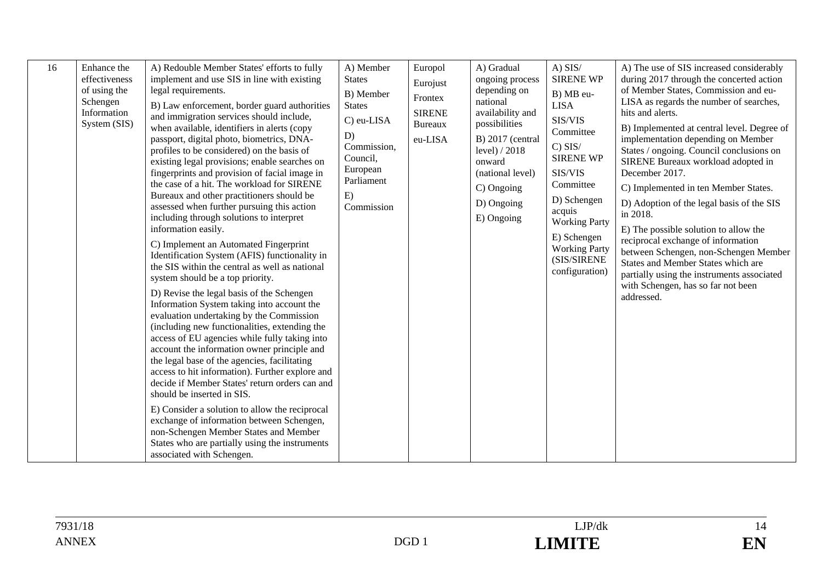| 16<br>Enhance the<br>effectiveness<br>of using the<br>Schengen<br>Information<br>System (SIS) | A) Redouble Member States' efforts to fully<br>implement and use SIS in line with existing<br>legal requirements.<br>B) Law enforcement, border guard authorities<br>and immigration services should include,<br>when available, identifiers in alerts (copy<br>passport, digital photo, biometrics, DNA-<br>profiles to be considered) on the basis of<br>existing legal provisions; enable searches on<br>fingerprints and provision of facial image in<br>the case of a hit. The workload for SIRENE<br>Bureaux and other practitioners should be<br>assessed when further pursuing this action<br>including through solutions to interpret<br>information easily.<br>C) Implement an Automated Fingerprint<br>Identification System (AFIS) functionality in<br>the SIS within the central as well as national<br>system should be a top priority.<br>D) Revise the legal basis of the Schengen<br>Information System taking into account the<br>evaluation undertaking by the Commission<br>(including new functionalities, extending the<br>access of EU agencies while fully taking into<br>account the information owner principle and<br>the legal base of the agencies, facilitating<br>access to hit information). Further explore and<br>decide if Member States' return orders can and<br>should be inserted in SIS.<br>E) Consider a solution to allow the reciprocal<br>exchange of information between Schengen,<br>non-Schengen Member States and Member | A) Member<br><b>States</b><br>B) Member<br><b>States</b><br>C) eu-LISA<br>D)<br>Commission,<br>Council,<br>European<br>Parliament<br>E)<br>Commission | Europol<br>Eurojust<br>Frontex<br><b>SIRENE</b><br><b>Bureaux</b><br>eu-LISA | A) Gradual<br>ongoing process<br>depending on<br>national<br>availability and<br>possibilities<br>$B)$ 2017 (central<br>level) / 2018<br>onward<br>(national level)<br>C) Ongoing<br>D) Ongoing<br>E) Ongoing | $A)$ SIS/<br><b>SIRENE WP</b><br>B) MB eu-<br><b>LISA</b><br>SIS/VIS<br>Committee<br>$C)$ SIS/<br><b>SIRENE WP</b><br>SIS/VIS<br>Committee<br>D) Schengen<br>acquis<br><b>Working Party</b><br>E) Schengen<br><b>Working Party</b><br>(SIS/SIRENE<br>configuration) | A) The use of SIS increased considerably<br>during 2017 through the concerted action<br>of Member States, Commission and eu-<br>LISA as regards the number of searches,<br>hits and alerts.<br>B) Implemented at central level. Degree of<br>implementation depending on Member<br>States / ongoing. Council conclusions on<br>SIRENE Bureaux workload adopted in<br>December 2017.<br>C) Implemented in ten Member States.<br>D) Adoption of the legal basis of the SIS<br>in 2018.<br>E) The possible solution to allow the<br>reciprocal exchange of information<br>between Schengen, non-Schengen Member<br>States and Member States which are<br>partially using the instruments associated<br>with Schengen, has so far not been<br>addressed. |
|-----------------------------------------------------------------------------------------------|--------------------------------------------------------------------------------------------------------------------------------------------------------------------------------------------------------------------------------------------------------------------------------------------------------------------------------------------------------------------------------------------------------------------------------------------------------------------------------------------------------------------------------------------------------------------------------------------------------------------------------------------------------------------------------------------------------------------------------------------------------------------------------------------------------------------------------------------------------------------------------------------------------------------------------------------------------------------------------------------------------------------------------------------------------------------------------------------------------------------------------------------------------------------------------------------------------------------------------------------------------------------------------------------------------------------------------------------------------------------------------------------------------------------------------------------------------------------------|-------------------------------------------------------------------------------------------------------------------------------------------------------|------------------------------------------------------------------------------|---------------------------------------------------------------------------------------------------------------------------------------------------------------------------------------------------------------|---------------------------------------------------------------------------------------------------------------------------------------------------------------------------------------------------------------------------------------------------------------------|------------------------------------------------------------------------------------------------------------------------------------------------------------------------------------------------------------------------------------------------------------------------------------------------------------------------------------------------------------------------------------------------------------------------------------------------------------------------------------------------------------------------------------------------------------------------------------------------------------------------------------------------------------------------------------------------------------------------------------------------------|
|                                                                                               | States who are partially using the instruments<br>associated with Schengen.                                                                                                                                                                                                                                                                                                                                                                                                                                                                                                                                                                                                                                                                                                                                                                                                                                                                                                                                                                                                                                                                                                                                                                                                                                                                                                                                                                                              |                                                                                                                                                       |                                                                              |                                                                                                                                                                                                               |                                                                                                                                                                                                                                                                     |                                                                                                                                                                                                                                                                                                                                                                                                                                                                                                                                                                                                                                                                                                                                                      |

14 EN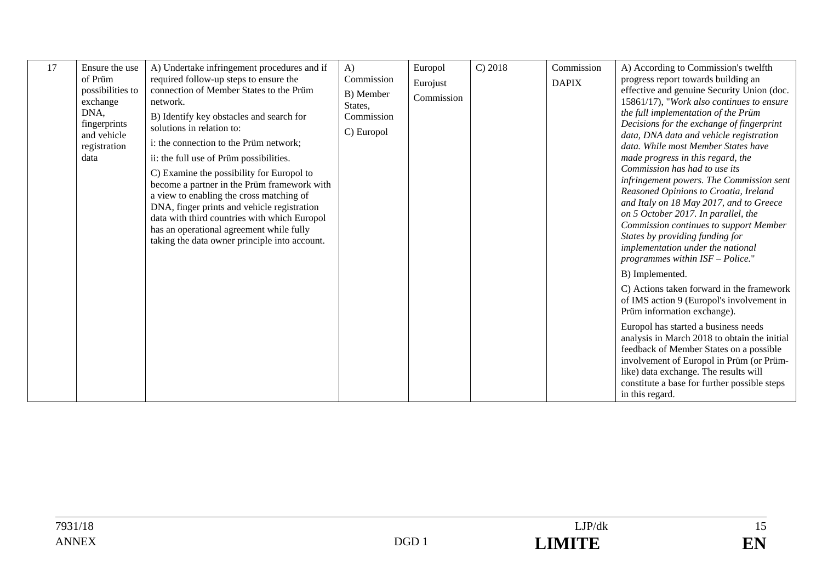| 17 | Ensure the use<br>of Prüm<br>possibilities to<br>exchange<br>DNA,<br>fingerprints<br>and vehicle<br>registration<br>data | A) Undertake infringement procedures and if<br>required follow-up steps to ensure the<br>connection of Member States to the Prüm<br>network.<br>B) Identify key obstacles and search for<br>solutions in relation to:<br>i: the connection to the Prüm network;<br>ii: the full use of Prüm possibilities.<br>C) Examine the possibility for Europol to<br>become a partner in the Prüm framework with<br>a view to enabling the cross matching of<br>DNA, finger prints and vehicle registration<br>data with third countries with which Europol<br>has an operational agreement while fully<br>taking the data owner principle into account. | $\bf{A}$<br>Commission<br>B) Member<br>States,<br>Commission<br>C) Europol | Europol<br>Eurojust<br>Commission | C) 2018 | Commission<br><b>DAPIX</b> | A) According to Commission's twelfth<br>progress report towards building an<br>effective and genuine Security Union (doc.<br>15861/17), "Work also continues to ensure<br>the full implementation of the Prüm<br>Decisions for the exchange of fingerprint<br>data, DNA data and vehicle registration<br>data. While most Member States have<br>made progress in this regard, the<br>Commission has had to use its<br>infringement powers. The Commission sent<br>Reasoned Opinions to Croatia, Ireland<br>and Italy on 18 May 2017, and to Greece<br>on 5 October 2017. In parallel, the<br>Commission continues to support Member<br>States by providing funding for<br>implementation under the national |
|----|--------------------------------------------------------------------------------------------------------------------------|------------------------------------------------------------------------------------------------------------------------------------------------------------------------------------------------------------------------------------------------------------------------------------------------------------------------------------------------------------------------------------------------------------------------------------------------------------------------------------------------------------------------------------------------------------------------------------------------------------------------------------------------|----------------------------------------------------------------------------|-----------------------------------|---------|----------------------------|-------------------------------------------------------------------------------------------------------------------------------------------------------------------------------------------------------------------------------------------------------------------------------------------------------------------------------------------------------------------------------------------------------------------------------------------------------------------------------------------------------------------------------------------------------------------------------------------------------------------------------------------------------------------------------------------------------------|
|    |                                                                                                                          |                                                                                                                                                                                                                                                                                                                                                                                                                                                                                                                                                                                                                                                |                                                                            |                                   |         |                            | programmes within $ISF - Police."$<br>B) Implemented.                                                                                                                                                                                                                                                                                                                                                                                                                                                                                                                                                                                                                                                       |
|    |                                                                                                                          |                                                                                                                                                                                                                                                                                                                                                                                                                                                                                                                                                                                                                                                |                                                                            |                                   |         |                            | C) Actions taken forward in the framework<br>of IMS action 9 (Europol's involvement in<br>Prüm information exchange).                                                                                                                                                                                                                                                                                                                                                                                                                                                                                                                                                                                       |
|    |                                                                                                                          |                                                                                                                                                                                                                                                                                                                                                                                                                                                                                                                                                                                                                                                |                                                                            |                                   |         |                            | Europol has started a business needs<br>analysis in March 2018 to obtain the initial<br>feedback of Member States on a possible<br>involvement of Europol in Prüm (or Prüm-<br>like) data exchange. The results will<br>constitute a base for further possible steps<br>in this regard.                                                                                                                                                                                                                                                                                                                                                                                                                     |

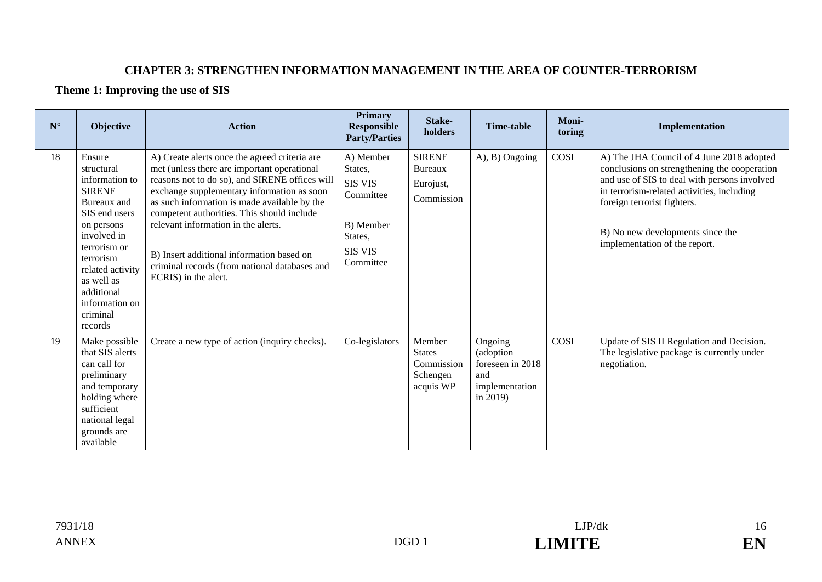#### **CHAPTER 3: STRENGTHEN INFORMATION MANAGEMENT IN THE AREA OF COUNTER-TERRORISM**

#### **Theme 1: Improving the use of SIS**

| $N^{\circ}$ | Objective                                                                                                                                                                                                                                  | <b>Action</b>                                                                                                                                                                                                                                                                                                                                                                                                                                           | <b>Primary</b><br><b>Responsible</b><br><b>Party/Parties</b>                                               | Stake-<br>holders                                              | <b>Time-table</b>                                                                | Moni-<br>toring | Implementation                                                                                                                                                                                                                                                                              |
|-------------|--------------------------------------------------------------------------------------------------------------------------------------------------------------------------------------------------------------------------------------------|---------------------------------------------------------------------------------------------------------------------------------------------------------------------------------------------------------------------------------------------------------------------------------------------------------------------------------------------------------------------------------------------------------------------------------------------------------|------------------------------------------------------------------------------------------------------------|----------------------------------------------------------------|----------------------------------------------------------------------------------|-----------------|---------------------------------------------------------------------------------------------------------------------------------------------------------------------------------------------------------------------------------------------------------------------------------------------|
| 18          | Ensure<br>structural<br>information to<br><b>SIRENE</b><br>Bureaux and<br>SIS end users<br>on persons<br>involved in<br>terrorism or<br>terrorism<br>related activity<br>as well as<br>additional<br>information on<br>criminal<br>records | A) Create alerts once the agreed criteria are<br>met (unless there are important operational<br>reasons not to do so), and SIRENE offices will<br>exchange supplementary information as soon<br>as such information is made available by the<br>competent authorities. This should include<br>relevant information in the alerts.<br>B) Insert additional information based on<br>criminal records (from national databases and<br>ECRIS) in the alert. | A) Member<br>States,<br><b>SIS VIS</b><br>Committee<br>B) Member<br>States,<br><b>SIS VIS</b><br>Committee | <b>SIRENE</b><br>Bureaux<br>Eurojust,<br>Commission            | A), B) Ongoing                                                                   | COSI            | A) The JHA Council of 4 June 2018 adopted<br>conclusions on strengthening the cooperation<br>and use of SIS to deal with persons involved<br>in terrorism-related activities, including<br>foreign terrorist fighters.<br>B) No new developments since the<br>implementation of the report. |
| 19          | Make possible<br>that SIS alerts<br>can call for<br>preliminary<br>and temporary<br>holding where<br>sufficient<br>national legal<br>grounds are<br>available                                                                              | Create a new type of action (inquiry checks).                                                                                                                                                                                                                                                                                                                                                                                                           | Co-legislators                                                                                             | Member<br><b>States</b><br>Commission<br>Schengen<br>acquis WP | Ongoing<br>(adoption<br>foreseen in 2018<br>and<br>implementation<br>in $2019$ ) | COSI            | Update of SIS II Regulation and Decision.<br>The legislative package is currently under<br>negotiation.                                                                                                                                                                                     |

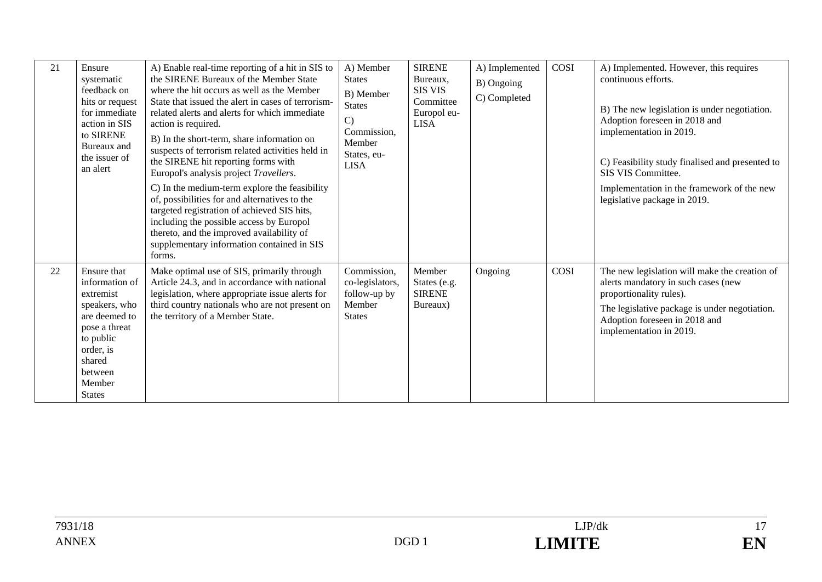| 21 | Ensure<br>systematic<br>feedback on<br>hits or request<br>for immediate<br>action in SIS<br>to SIRENE<br>Bureaux and<br>the issuer of<br>an alert                       | A) Enable real-time reporting of a hit in SIS to<br>the SIRENE Bureaux of the Member State<br>where the hit occurs as well as the Member<br>State that issued the alert in cases of terrorism-<br>related alerts and alerts for which immediate<br>action is required.<br>B) In the short-term, share information on<br>suspects of terrorism related activities held in<br>the SIRENE hit reporting forms with<br>Europol's analysis project Travellers.<br>C) In the medium-term explore the feasibility<br>of, possibilities for and alternatives to the<br>targeted registration of achieved SIS hits,<br>including the possible access by Europol<br>thereto, and the improved availability of<br>supplementary information contained in SIS<br>forms. | A) Member<br><b>States</b><br>B) Member<br><b>States</b><br>$\mathcal{C}$<br>Commission,<br>Member<br>States, eu-<br><b>LISA</b> | <b>SIRENE</b><br>Bureaux,<br><b>SIS VIS</b><br>Committee<br>Europol eu-<br><b>LISA</b> | A) Implemented<br>B) Ongoing<br>C) Completed | COSI | A) Implemented. However, this requires<br>continuous efforts.<br>B) The new legislation is under negotiation.<br>Adoption foreseen in 2018 and<br>implementation in 2019.<br>C) Feasibility study finalised and presented to<br>SIS VIS Committee.<br>Implementation in the framework of the new<br>legislative package in 2019. |
|----|-------------------------------------------------------------------------------------------------------------------------------------------------------------------------|-------------------------------------------------------------------------------------------------------------------------------------------------------------------------------------------------------------------------------------------------------------------------------------------------------------------------------------------------------------------------------------------------------------------------------------------------------------------------------------------------------------------------------------------------------------------------------------------------------------------------------------------------------------------------------------------------------------------------------------------------------------|----------------------------------------------------------------------------------------------------------------------------------|----------------------------------------------------------------------------------------|----------------------------------------------|------|----------------------------------------------------------------------------------------------------------------------------------------------------------------------------------------------------------------------------------------------------------------------------------------------------------------------------------|
| 22 | Ensure that<br>information of<br>extremist<br>speakers, who<br>are deemed to<br>pose a threat<br>to public<br>order, is<br>shared<br>between<br>Member<br><b>States</b> | Make optimal use of SIS, primarily through<br>Article 24.3, and in accordance with national<br>legislation, where appropriate issue alerts for<br>third country nationals who are not present on<br>the territory of a Member State.                                                                                                                                                                                                                                                                                                                                                                                                                                                                                                                        | Commission,<br>co-legislators,<br>follow-up by<br>Member<br><b>States</b>                                                        | Member<br>States (e.g.<br><b>SIRENE</b><br>Bureaux)                                    | Ongoing                                      | COSI | The new legislation will make the creation of<br>alerts mandatory in such cases (new<br>proportionality rules).<br>The legislative package is under negotiation.<br>Adoption foreseen in 2018 and<br>implementation in 2019.                                                                                                     |

7931/18 LJP/dk 17ANNEX DGD 1 **LIMITE** 

17 EN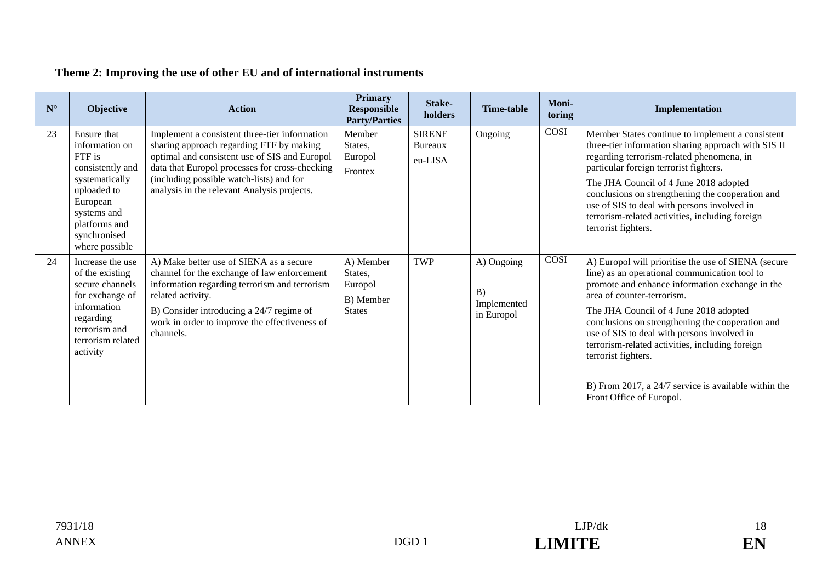## **Theme 2: Improving the use of other EU and of international instruments**

| $N^{\circ}$ | <b>Objective</b>                                                                                                                                                           | <b>Action</b>                                                                                                                                                                                                                                                                           | <b>Primary</b><br><b>Responsible</b><br><b>Party/Parties</b>  | Stake-<br>holders                          | Time-table                                    | Moni-<br>toring | Implementation                                                                                                                                                                                                                                                                                                                                                                                                                                                                                   |
|-------------|----------------------------------------------------------------------------------------------------------------------------------------------------------------------------|-----------------------------------------------------------------------------------------------------------------------------------------------------------------------------------------------------------------------------------------------------------------------------------------|---------------------------------------------------------------|--------------------------------------------|-----------------------------------------------|-----------------|--------------------------------------------------------------------------------------------------------------------------------------------------------------------------------------------------------------------------------------------------------------------------------------------------------------------------------------------------------------------------------------------------------------------------------------------------------------------------------------------------|
| 23          | Ensure that<br>information on<br>FTF is<br>consistently and<br>systematically<br>uploaded to<br>European<br>systems and<br>platforms and<br>synchronised<br>where possible | Implement a consistent three-tier information<br>sharing approach regarding FTF by making<br>optimal and consistent use of SIS and Europol<br>data that Europol processes for cross-checking<br>(including possible watch-lists) and for<br>analysis in the relevant Analysis projects. | Member<br>States,<br>Europol<br>Frontex                       | <b>SIRENE</b><br><b>Bureaux</b><br>eu-LISA | Ongoing                                       | COSI            | Member States continue to implement a consistent<br>three-tier information sharing approach with SIS II<br>regarding terrorism-related phenomena, in<br>particular foreign terrorist fighters.<br>The JHA Council of 4 June 2018 adopted<br>conclusions on strengthening the cooperation and<br>use of SIS to deal with persons involved in<br>terrorism-related activities, including foreign<br>terrorist fighters.                                                                            |
| 24          | Increase the use<br>of the existing<br>secure channels<br>for exchange of<br>information<br>regarding<br>terrorism and<br>terrorism related<br>activity                    | A) Make better use of SIENA as a secure<br>channel for the exchange of law enforcement<br>information regarding terrorism and terrorism<br>related activity.<br>B) Consider introducing a 24/7 regime of<br>work in order to improve the effectiveness of<br>channels.                  | A) Member<br>States,<br>Europol<br>B) Member<br><b>States</b> | TWP                                        | A) Ongoing<br>B)<br>Implemented<br>in Europol | COSI            | A) Europol will prioritise the use of SIENA (secure<br>line) as an operational communication tool to<br>promote and enhance information exchange in the<br>area of counter-terrorism.<br>The JHA Council of 4 June 2018 adopted<br>conclusions on strengthening the cooperation and<br>use of SIS to deal with persons involved in<br>terrorism-related activities, including foreign<br>terrorist fighters.<br>B) From 2017, a 24/7 service is available within the<br>Front Office of Europol. |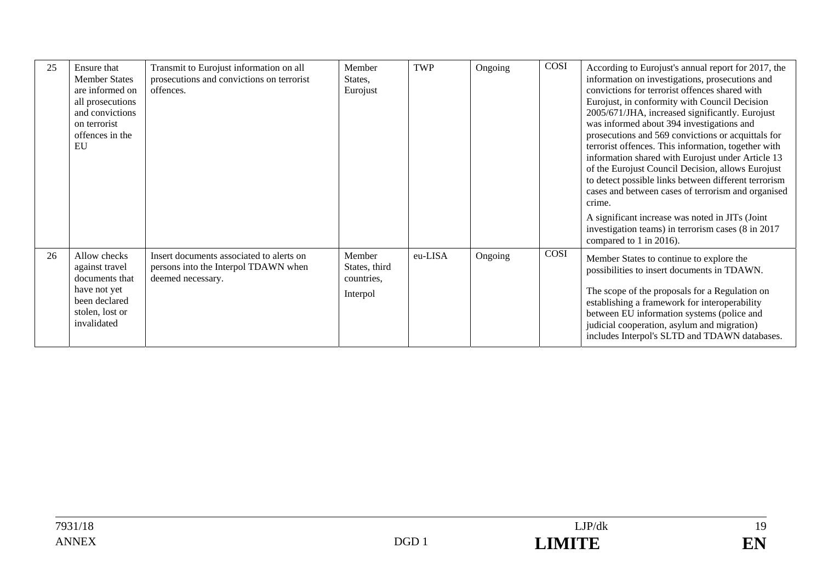| 25 | Ensure that<br><b>Member States</b><br>are informed on<br>all prosecutions<br>and convictions<br>on terrorist<br>offences in the<br>EU | Transmit to Eurojust information on all<br>prosecutions and convictions on terrorist<br>offences.     | Member<br>States,<br>Eurojust                     | TWP     | Ongoing | <b>COSI</b> | According to Eurojust's annual report for 2017, the<br>information on investigations, prosecutions and<br>convictions for terrorist offences shared with<br>Eurojust, in conformity with Council Decision<br>2005/671/JHA, increased significantly. Eurojust<br>was informed about 394 investigations and<br>prosecutions and 569 convictions or acquittals for<br>terrorist offences. This information, together with<br>information shared with Eurojust under Article 13<br>of the Eurojust Council Decision, allows Eurojust<br>to detect possible links between different terrorism<br>cases and between cases of terrorism and organised<br>crime.<br>A significant increase was noted in JITs (Joint<br>investigation teams) in terrorism cases (8 in 2017<br>compared to 1 in 2016). |
|----|----------------------------------------------------------------------------------------------------------------------------------------|-------------------------------------------------------------------------------------------------------|---------------------------------------------------|---------|---------|-------------|----------------------------------------------------------------------------------------------------------------------------------------------------------------------------------------------------------------------------------------------------------------------------------------------------------------------------------------------------------------------------------------------------------------------------------------------------------------------------------------------------------------------------------------------------------------------------------------------------------------------------------------------------------------------------------------------------------------------------------------------------------------------------------------------|
| 26 | Allow checks<br>against travel<br>documents that<br>have not yet<br>been declared<br>stolen, lost or<br>invalidated                    | Insert documents associated to alerts on<br>persons into the Interpol TDAWN when<br>deemed necessary. | Member<br>States, third<br>countries,<br>Interpol | eu-LISA | Ongoing | COSI        | Member States to continue to explore the<br>possibilities to insert documents in TDAWN.<br>The scope of the proposals for a Regulation on<br>establishing a framework for interoperability<br>between EU information systems (police and<br>judicial cooperation, asylum and migration)<br>includes Interpol's SLTD and TDAWN databases.                                                                                                                                                                                                                                                                                                                                                                                                                                                     |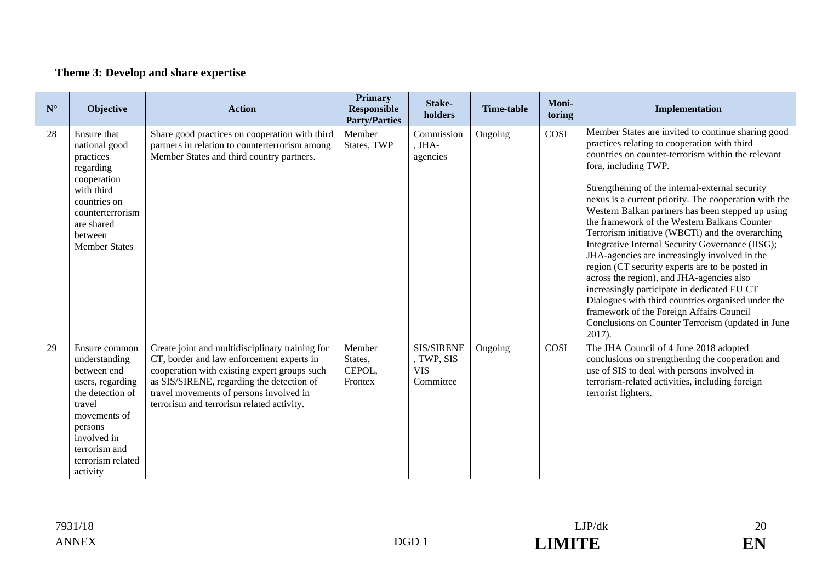## **Theme 3: Develop and share expertise**

| $N^{\circ}$ | <b>Objective</b>                                                                                                                                                                            | <b>Action</b>                                                                                                                                                                                                                                                                     | <b>Primary</b><br><b>Responsible</b><br><b>Party/Parties</b> | Stake-<br>holders                                          | <b>Time-table</b> | Moni-<br>toring | Implementation                                                                                                                                                                                                                                                                                                                                                                                                                                                                                                                                                                                                                                                                                                                                                                                                                                                                |
|-------------|---------------------------------------------------------------------------------------------------------------------------------------------------------------------------------------------|-----------------------------------------------------------------------------------------------------------------------------------------------------------------------------------------------------------------------------------------------------------------------------------|--------------------------------------------------------------|------------------------------------------------------------|-------------------|-----------------|-------------------------------------------------------------------------------------------------------------------------------------------------------------------------------------------------------------------------------------------------------------------------------------------------------------------------------------------------------------------------------------------------------------------------------------------------------------------------------------------------------------------------------------------------------------------------------------------------------------------------------------------------------------------------------------------------------------------------------------------------------------------------------------------------------------------------------------------------------------------------------|
| 28          | Ensure that<br>national good<br>practices<br>regarding<br>cooperation<br>with third<br>countries on<br>counterterrorism<br>are shared<br>between<br><b>Member States</b>                    | Share good practices on cooperation with third<br>partners in relation to counterterrorism among<br>Member States and third country partners.                                                                                                                                     | Member<br>States, TWP                                        | Commission<br>, JHA-<br>agencies                           | Ongoing           | COSI            | Member States are invited to continue sharing good<br>practices relating to cooperation with third<br>countries on counter-terrorism within the relevant<br>fora, including TWP.<br>Strengthening of the internal-external security<br>nexus is a current priority. The cooperation with the<br>Western Balkan partners has been stepped up using<br>the framework of the Western Balkans Counter<br>Terrorism initiative (WBCTi) and the overarching<br>Integrative Internal Security Governance (IISG);<br>JHA-agencies are increasingly involved in the<br>region (CT security experts are to be posted in<br>across the region), and JHA-agencies also<br>increasingly participate in dedicated EU CT<br>Dialogues with third countries organised under the<br>framework of the Foreign Affairs Council<br>Conclusions on Counter Terrorism (updated in June<br>$2017$ ). |
| 29          | Ensure common<br>understanding<br>between end<br>users, regarding<br>the detection of<br>travel<br>movements of<br>persons<br>involved in<br>terrorism and<br>terrorism related<br>activity | Create joint and multidisciplinary training for<br>CT, border and law enforcement experts in<br>cooperation with existing expert groups such<br>as SIS/SIRENE, regarding the detection of<br>travel movements of persons involved in<br>terrorism and terrorism related activity. | Member<br>States,<br>CEPOL,<br>Frontex                       | <b>SIS/SIRENE</b><br>, TWP, SIS<br><b>VIS</b><br>Committee | Ongoing           | COSI            | The JHA Council of 4 June 2018 adopted<br>conclusions on strengthening the cooperation and<br>use of SIS to deal with persons involved in<br>terrorism-related activities, including foreign<br>terrorist fighters.                                                                                                                                                                                                                                                                                                                                                                                                                                                                                                                                                                                                                                                           |

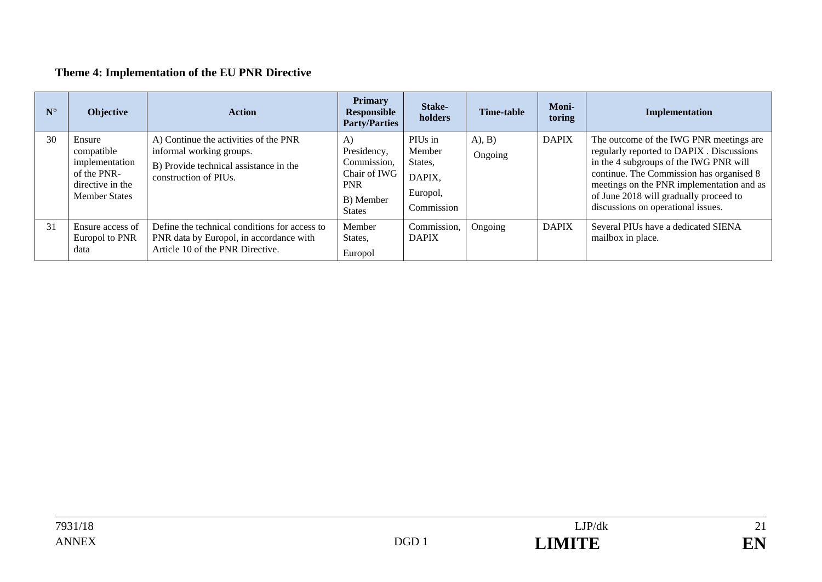## **Theme 4: Implementation of the EU PNR Directive**

| $N^{\circ}$ | <b>Objective</b>                                                                                  | <b>Action</b>                                                                                                                        | <b>Primary</b><br><b>Responsible</b><br><b>Party/Parties</b>                                 | Stake-<br>holders                                                | <b>Time-table</b>  | <b>Moni-</b><br>toring | Implementation                                                                                                                                                                                                                                                                                          |
|-------------|---------------------------------------------------------------------------------------------------|--------------------------------------------------------------------------------------------------------------------------------------|----------------------------------------------------------------------------------------------|------------------------------------------------------------------|--------------------|------------------------|---------------------------------------------------------------------------------------------------------------------------------------------------------------------------------------------------------------------------------------------------------------------------------------------------------|
| 30          | Ensure<br>compatible<br>implementation<br>of the PNR-<br>directive in the<br><b>Member States</b> | A) Continue the activities of the PNR<br>informal working groups.<br>B) Provide technical assistance in the<br>construction of PIUs. | A)<br>Presidency,<br>Commission,<br>Chair of IWG<br><b>PNR</b><br>B) Member<br><b>States</b> | PIUs in<br>Member<br>States,<br>DAPIX,<br>Europol,<br>Commission | (A), B)<br>Ongoing | <b>DAPIX</b>           | The outcome of the IWG PNR meetings are<br>regularly reported to DAPIX . Discussions<br>in the 4 subgroups of the IWG PNR will<br>continue. The Commission has organised 8<br>meetings on the PNR implementation and as<br>of June 2018 will gradually proceed to<br>discussions on operational issues. |
| 31          | Ensure access of<br>Europol to PNR<br>data                                                        | Define the technical conditions for access to<br>PNR data by Europol, in accordance with<br>Article 10 of the PNR Directive.         | Member<br>States,<br>Europol                                                                 | Commission,<br><b>DAPIX</b>                                      | Ongoing            | <b>DAPIX</b>           | Several PIUs have a dedicated SIENA<br>mailbox in place.                                                                                                                                                                                                                                                |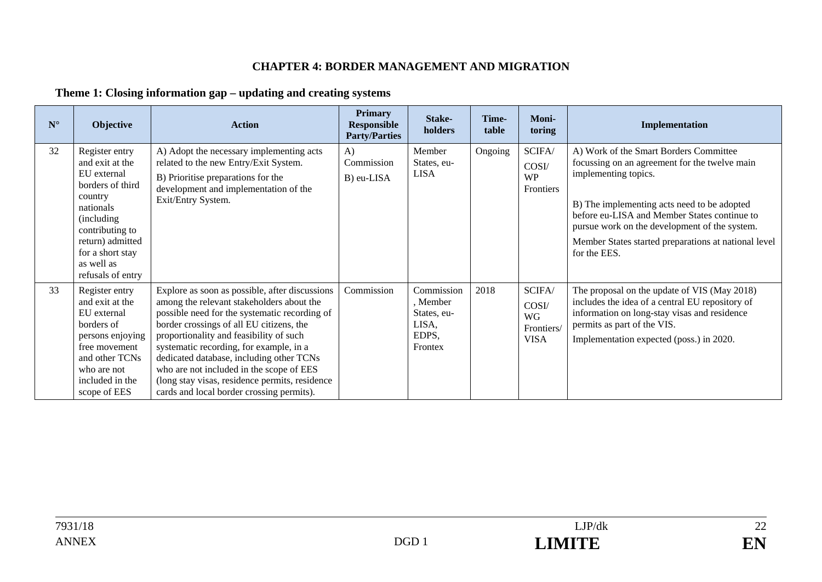#### **CHAPTER 4: BORDER MANAGEMENT AND MIGRATION**

### **Theme 1: Closing information gap – updating and creating systems**

| $N^{\circ}$ | <b>Objective</b>                                                                                                                                                                                          | <b>Action</b>                                                                                                                                                                                                                                                                                                                                                                                                                                                         | <b>Primary</b><br><b>Responsible</b><br><b>Party/Parties</b> | Stake-<br>holders                                                  | Time-<br>table | Moni-<br>toring                                    | Implementation                                                                                                                                                                                                                                                                                                                          |
|-------------|-----------------------------------------------------------------------------------------------------------------------------------------------------------------------------------------------------------|-----------------------------------------------------------------------------------------------------------------------------------------------------------------------------------------------------------------------------------------------------------------------------------------------------------------------------------------------------------------------------------------------------------------------------------------------------------------------|--------------------------------------------------------------|--------------------------------------------------------------------|----------------|----------------------------------------------------|-----------------------------------------------------------------------------------------------------------------------------------------------------------------------------------------------------------------------------------------------------------------------------------------------------------------------------------------|
| 32          | Register entry<br>and exit at the<br>EU external<br>borders of third<br>country<br>nationals<br>(including)<br>contributing to<br>return) admitted<br>for a short stay<br>as well as<br>refusals of entry | A) Adopt the necessary implementing acts<br>related to the new Entry/Exit System.<br>B) Prioritise preparations for the<br>development and implementation of the<br>Exit/Entry System.                                                                                                                                                                                                                                                                                | $\bf{A}$<br>Commission<br>B) eu-LISA                         | Member<br>States, eu-<br><b>LISA</b>                               | Ongoing        | SCIFA/<br>COSI/<br><b>WP</b><br>Frontiers          | A) Work of the Smart Borders Committee<br>focussing on an agreement for the twelve main<br>implementing topics.<br>B) The implementing acts need to be adopted<br>before eu-LISA and Member States continue to<br>pursue work on the development of the system.<br>Member States started preparations at national level<br>for the EES. |
| 33          | Register entry<br>and exit at the<br>EU external<br>borders of<br>persons enjoying<br>free movement<br>and other TCNs<br>who are not<br>included in the<br>scope of EES                                   | Explore as soon as possible, after discussions<br>among the relevant stakeholders about the<br>possible need for the systematic recording of<br>border crossings of all EU citizens, the<br>proportionality and feasibility of such<br>systematic recording, for example, in a<br>dedicated database, including other TCNs<br>who are not included in the scope of EES<br>(long stay visas, residence permits, residence<br>cards and local border crossing permits). | Commission                                                   | Commission<br>, Member<br>States, eu-<br>LISA,<br>EDPS,<br>Frontex | 2018           | SCIFA/<br>COSI/<br>WG<br>Frontiers/<br><b>VISA</b> | The proposal on the update of VIS (May 2018)<br>includes the idea of a central EU repository of<br>information on long-stay visas and residence<br>permits as part of the VIS.<br>Implementation expected (poss.) in 2020.                                                                                                              |

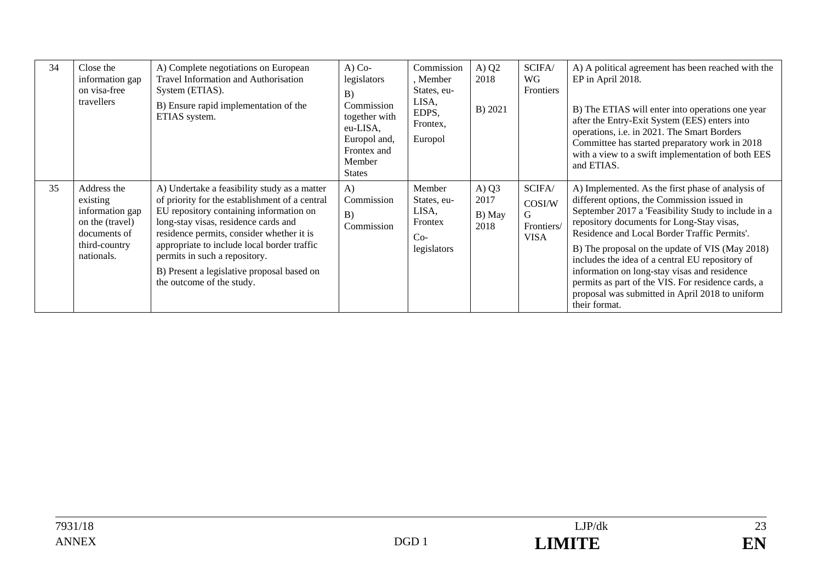| 34 | Close the<br>information gap<br>on visa-free<br>travellers                                                   | A) Complete negotiations on European<br>Travel Information and Authorisation<br>System (ETIAS).<br>B) Ensure rapid implementation of the<br>ETIAS system.                                                                                                                                                                                                                                 | $A)$ Co-<br>legislators<br>B)<br>Commission<br>together with<br>eu-LISA,<br>Europol and,<br>Frontex and<br>Member<br><b>States</b> | Commission<br>, Member<br>States, eu-<br>LISA,<br>EDPS,<br>Frontex,<br>Europol | A) $Q2$<br>2018<br>B) 2021        | SCIFA/<br>WG<br>Frontiers                          | A) A political agreement has been reached with the<br>EP in April 2018.<br>B) The ETIAS will enter into operations one year<br>after the Entry-Exit System (EES) enters into<br>operations, i.e. in 2021. The Smart Borders<br>Committee has started preparatory work in 2018<br>with a view to a swift implementation of both EES<br>and ETIAS.                                                                                                                                                                                     |
|----|--------------------------------------------------------------------------------------------------------------|-------------------------------------------------------------------------------------------------------------------------------------------------------------------------------------------------------------------------------------------------------------------------------------------------------------------------------------------------------------------------------------------|------------------------------------------------------------------------------------------------------------------------------------|--------------------------------------------------------------------------------|-----------------------------------|----------------------------------------------------|--------------------------------------------------------------------------------------------------------------------------------------------------------------------------------------------------------------------------------------------------------------------------------------------------------------------------------------------------------------------------------------------------------------------------------------------------------------------------------------------------------------------------------------|
| 35 | Address the<br>existing<br>information gap<br>on the (travel)<br>documents of<br>third-country<br>nationals. | A) Undertake a feasibility study as a matter<br>of priority for the establishment of a central<br>EU repository containing information on<br>long-stay visas, residence cards and<br>residence permits, consider whether it is<br>appropriate to include local border traffic<br>permits in such a repository.<br>B) Present a legislative proposal based on<br>the outcome of the study. | $\bf{A}$<br>Commission<br>B)<br>Commission                                                                                         | Member<br>States, eu-<br>LISA,<br>Frontex<br>$Co-$<br>legislators              | A) $Q3$<br>2017<br>B) May<br>2018 | SCIFA/<br>COSI/W<br>G<br>Frontiers/<br><b>VISA</b> | A) Implemented. As the first phase of analysis of<br>different options, the Commission issued in<br>September 2017 a 'Feasibility Study to include in a<br>repository documents for Long-Stay visas,<br>Residence and Local Border Traffic Permits'.<br>B) The proposal on the update of VIS (May 2018)<br>includes the idea of a central EU repository of<br>information on long-stay visas and residence<br>permits as part of the VIS. For residence cards, a<br>proposal was submitted in April 2018 to uniform<br>their format. |

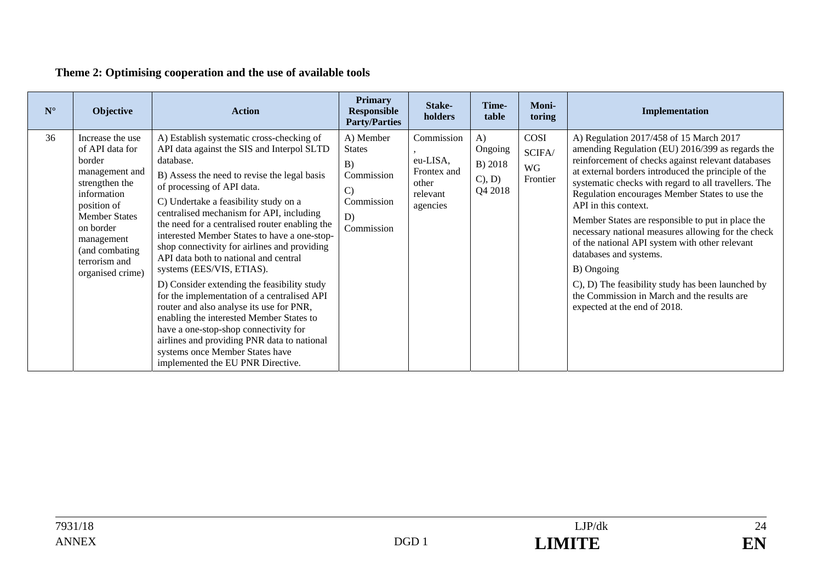## **Theme 2: Optimising cooperation and the use of available tools**

| $N^{\circ}$ | Objective                                                                                                                                                                                                                  | <b>Action</b>                                                                                                                                                                                                                                                                                                                                                                                                                                                                                                                                                                                                                                                                                                                                                                                                                                         | <b>Primary</b><br><b>Responsible</b><br><b>Party/Parties</b>                                     | Stake-<br>holders                                                      | Time-<br>table                                            | Moni-<br>toring                  | Implementation                                                                                                                                                                                                                                                                                                                                                                                                                                                                                                                                                                                                                                                                      |
|-------------|----------------------------------------------------------------------------------------------------------------------------------------------------------------------------------------------------------------------------|-------------------------------------------------------------------------------------------------------------------------------------------------------------------------------------------------------------------------------------------------------------------------------------------------------------------------------------------------------------------------------------------------------------------------------------------------------------------------------------------------------------------------------------------------------------------------------------------------------------------------------------------------------------------------------------------------------------------------------------------------------------------------------------------------------------------------------------------------------|--------------------------------------------------------------------------------------------------|------------------------------------------------------------------------|-----------------------------------------------------------|----------------------------------|-------------------------------------------------------------------------------------------------------------------------------------------------------------------------------------------------------------------------------------------------------------------------------------------------------------------------------------------------------------------------------------------------------------------------------------------------------------------------------------------------------------------------------------------------------------------------------------------------------------------------------------------------------------------------------------|
| 36          | Increase the use<br>of API data for<br>border<br>management and<br>strengthen the<br>information<br>position of<br><b>Member States</b><br>on border<br>management<br>(and combating)<br>terrorism and<br>organised crime) | A) Establish systematic cross-checking of<br>API data against the SIS and Interpol SLTD<br>database.<br>B) Assess the need to revise the legal basis<br>of processing of API data.<br>C) Undertake a feasibility study on a<br>centralised mechanism for API, including<br>the need for a centralised router enabling the<br>interested Member States to have a one-stop-<br>shop connectivity for airlines and providing<br>API data both to national and central<br>systems (EES/VIS, ETIAS).<br>D) Consider extending the feasibility study<br>for the implementation of a centralised API<br>router and also analyse its use for PNR,<br>enabling the interested Member States to<br>have a one-stop-shop connectivity for<br>airlines and providing PNR data to national<br>systems once Member States have<br>implemented the EU PNR Directive. | A) Member<br><b>States</b><br>B)<br>Commission<br>$\mathbf{C}$<br>Commission<br>D)<br>Commission | Commission<br>eu-LISA,<br>Frontex and<br>other<br>relevant<br>agencies | $\bf{A}$<br>Ongoing<br>B) 2018<br>$C$ ), $D$ )<br>Q4 2018 | COSI<br>SCIFA/<br>WG<br>Frontier | A) Regulation 2017/458 of 15 March 2017<br>amending Regulation (EU) 2016/399 as regards the<br>reinforcement of checks against relevant databases<br>at external borders introduced the principle of the<br>systematic checks with regard to all travellers. The<br>Regulation encourages Member States to use the<br>API in this context.<br>Member States are responsible to put in place the<br>necessary national measures allowing for the check<br>of the national API system with other relevant<br>databases and systems.<br>B) Ongoing<br>C), D) The feasibility study has been launched by<br>the Commission in March and the results are<br>expected at the end of 2018. |

24 EN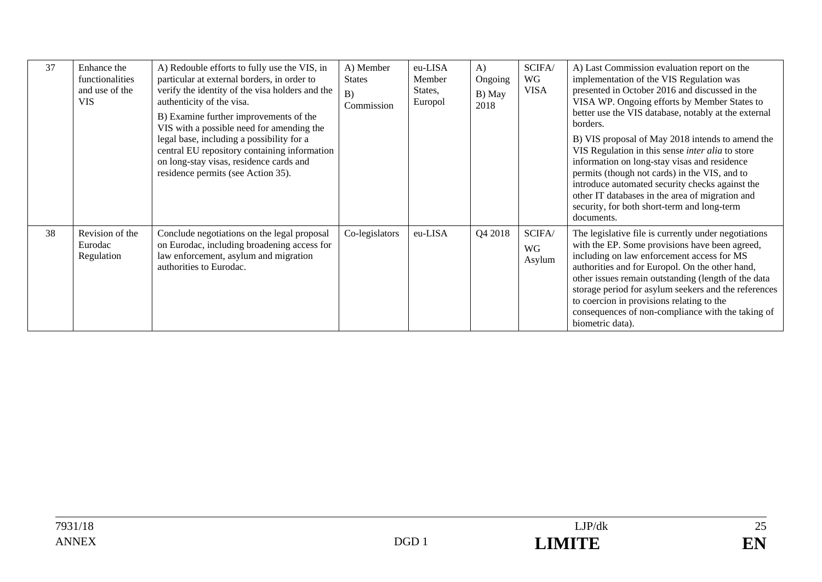| 37 | Enhance the<br>functionalities<br>and use of the<br><b>VIS</b> | A) Redouble efforts to fully use the VIS, in<br>particular at external borders, in order to<br>verify the identity of the visa holders and the<br>authenticity of the visa.<br>B) Examine further improvements of the<br>VIS with a possible need for amending the<br>legal base, including a possibility for a<br>central EU repository containing information<br>on long-stay visas, residence cards and<br>residence permits (see Action 35). | A) Member<br><b>States</b><br>B)<br>Commission | eu-LISA<br>Member<br>States,<br>Europol | A)<br>Ongoing<br>B) May<br>2018 | SCIFA/<br><b>WG</b><br><b>VISA</b> | A) Last Commission evaluation report on the<br>implementation of the VIS Regulation was<br>presented in October 2016 and discussed in the<br>VISA WP. Ongoing efforts by Member States to<br>better use the VIS database, notably at the external<br>borders.<br>B) VIS proposal of May 2018 intends to amend the<br>VIS Regulation in this sense inter alia to store<br>information on long-stay visas and residence<br>permits (though not cards) in the VIS, and to<br>introduce automated security checks against the<br>other IT databases in the area of migration and<br>security, for both short-term and long-term<br>documents. |
|----|----------------------------------------------------------------|--------------------------------------------------------------------------------------------------------------------------------------------------------------------------------------------------------------------------------------------------------------------------------------------------------------------------------------------------------------------------------------------------------------------------------------------------|------------------------------------------------|-----------------------------------------|---------------------------------|------------------------------------|-------------------------------------------------------------------------------------------------------------------------------------------------------------------------------------------------------------------------------------------------------------------------------------------------------------------------------------------------------------------------------------------------------------------------------------------------------------------------------------------------------------------------------------------------------------------------------------------------------------------------------------------|
| 38 | Revision of the<br>Eurodac<br>Regulation                       | Conclude negotiations on the legal proposal<br>on Eurodac, including broadening access for<br>law enforcement, asylum and migration<br>authorities to Eurodac.                                                                                                                                                                                                                                                                                   | Co-legislators                                 | eu-LISA                                 | Q4 2018                         | SCIFA/<br>WG<br>Asylum             | The legislative file is currently under negotiations<br>with the EP. Some provisions have been agreed,<br>including on law enforcement access for MS<br>authorities and for Europol. On the other hand,<br>other issues remain outstanding (length of the data<br>storage period for asylum seekers and the references<br>to coercion in provisions relating to the<br>consequences of non-compliance with the taking of<br>biometric data).                                                                                                                                                                                              |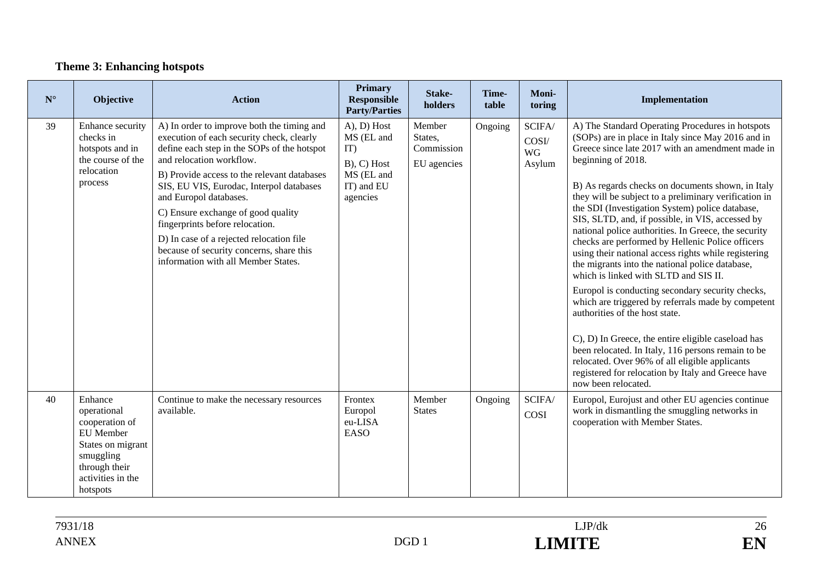## **Theme 3: Enhancing hotspots**

| ${\bf N}^{\circ}$ | Objective                                                                                                                                        | <b>Action</b>                                                                                                                                                                                                                                                                                                                                                                                                                                                                                   | <b>Primary</b><br><b>Responsible</b><br><b>Party/Parties</b>                                     | Stake-<br>holders                              | Time-<br>table | Moni-<br>toring                        | Implementation                                                                                                                                                                                                                                                                                                                                                                                                                                                                                                                                                                                                                                                                                                                                                                                                                                                                                                                                                                                                                                               |
|-------------------|--------------------------------------------------------------------------------------------------------------------------------------------------|-------------------------------------------------------------------------------------------------------------------------------------------------------------------------------------------------------------------------------------------------------------------------------------------------------------------------------------------------------------------------------------------------------------------------------------------------------------------------------------------------|--------------------------------------------------------------------------------------------------|------------------------------------------------|----------------|----------------------------------------|--------------------------------------------------------------------------------------------------------------------------------------------------------------------------------------------------------------------------------------------------------------------------------------------------------------------------------------------------------------------------------------------------------------------------------------------------------------------------------------------------------------------------------------------------------------------------------------------------------------------------------------------------------------------------------------------------------------------------------------------------------------------------------------------------------------------------------------------------------------------------------------------------------------------------------------------------------------------------------------------------------------------------------------------------------------|
| 39                | Enhance security<br>checks in<br>hotspots and in<br>the course of the<br>relocation<br>process                                                   | A) In order to improve both the timing and<br>execution of each security check, clearly<br>define each step in the SOPs of the hotspot<br>and relocation workflow.<br>B) Provide access to the relevant databases<br>SIS, EU VIS, Eurodac, Interpol databases<br>and Europol databases.<br>C) Ensure exchange of good quality<br>fingerprints before relocation.<br>D) In case of a rejected relocation file<br>because of security concerns, share this<br>information with all Member States. | $(A), D)$ Host<br>MS (EL and<br>IT)<br>$B$ ), $C$ ) Host<br>MS (EL and<br>IT) and EU<br>agencies | Member<br>States,<br>Commission<br>EU agencies | Ongoing        | SCIFA/<br>COSI/<br><b>WG</b><br>Asylum | A) The Standard Operating Procedures in hotspots<br>(SOPs) are in place in Italy since May 2016 and in<br>Greece since late 2017 with an amendment made in<br>beginning of 2018.<br>B) As regards checks on documents shown, in Italy<br>they will be subject to a preliminary verification in<br>the SDI (Investigation System) police database,<br>SIS, SLTD, and, if possible, in VIS, accessed by<br>national police authorities. In Greece, the security<br>checks are performed by Hellenic Police officers<br>using their national access rights while registering<br>the migrants into the national police database,<br>which is linked with SLTD and SIS II.<br>Europol is conducting secondary security checks,<br>which are triggered by referrals made by competent<br>authorities of the host state.<br>C), D) In Greece, the entire eligible caseload has<br>been relocated. In Italy, 116 persons remain to be<br>relocated. Over 96% of all eligible applicants<br>registered for relocation by Italy and Greece have<br>now been relocated. |
| 40                | Enhance<br>operational<br>cooperation of<br><b>EU</b> Member<br>States on migrant<br>smuggling<br>through their<br>activities in the<br>hotspots | Continue to make the necessary resources<br>available.                                                                                                                                                                                                                                                                                                                                                                                                                                          | Frontex<br>Europol<br>eu-LISA<br><b>EASO</b>                                                     | Member<br><b>States</b>                        | Ongoing        | SCIFA/<br><b>COSI</b>                  | Europol, Eurojust and other EU agencies continue<br>work in dismantling the smuggling networks in<br>cooperation with Member States.                                                                                                                                                                                                                                                                                                                                                                                                                                                                                                                                                                                                                                                                                                                                                                                                                                                                                                                         |

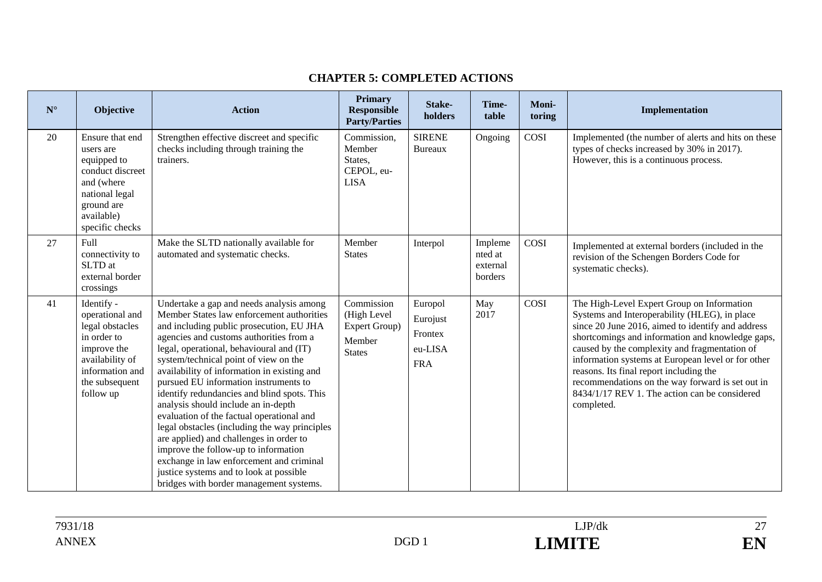#### **CHAPTER 5: COMPLETED ACTIONS**

| $N^{\circ}$ | Objective                                                                                                                                           | <b>Action</b>                                                                                                                                                                                                                                                                                                                                                                                                                                                                                                                                                                                                                                                                                                                                                      | <b>Primary</b><br><b>Responsible</b><br><b>Party/Parties</b>          | Stake-<br>holders                                       | Time-<br>table                            | Moni-<br>toring | Implementation                                                                                                                                                                                                                                                                                                                                                                                                                                                            |
|-------------|-----------------------------------------------------------------------------------------------------------------------------------------------------|--------------------------------------------------------------------------------------------------------------------------------------------------------------------------------------------------------------------------------------------------------------------------------------------------------------------------------------------------------------------------------------------------------------------------------------------------------------------------------------------------------------------------------------------------------------------------------------------------------------------------------------------------------------------------------------------------------------------------------------------------------------------|-----------------------------------------------------------------------|---------------------------------------------------------|-------------------------------------------|-----------------|---------------------------------------------------------------------------------------------------------------------------------------------------------------------------------------------------------------------------------------------------------------------------------------------------------------------------------------------------------------------------------------------------------------------------------------------------------------------------|
| 20          | Ensure that end<br>users are<br>equipped to<br>conduct discreet<br>and (where<br>national legal<br>ground are<br>available)<br>specific checks      | Strengthen effective discreet and specific<br>checks including through training the<br>trainers.                                                                                                                                                                                                                                                                                                                                                                                                                                                                                                                                                                                                                                                                   | Commission,<br>Member<br>States,<br>CEPOL, eu-<br><b>LISA</b>         | <b>SIRENE</b><br><b>Bureaux</b>                         | Ongoing                                   | COSI            | Implemented (the number of alerts and hits on these<br>types of checks increased by 30% in 2017).<br>However, this is a continuous process.                                                                                                                                                                                                                                                                                                                               |
| 27          | Full<br>connectivity to<br>SLTD at<br>external border<br>crossings                                                                                  | Make the SLTD nationally available for<br>automated and systematic checks.                                                                                                                                                                                                                                                                                                                                                                                                                                                                                                                                                                                                                                                                                         | Member<br><b>States</b>                                               | Interpol                                                | Impleme<br>nted at<br>external<br>borders | COSI            | Implemented at external borders (included in the<br>revision of the Schengen Borders Code for<br>systematic checks).                                                                                                                                                                                                                                                                                                                                                      |
| 41          | Identify -<br>operational and<br>legal obstacles<br>in order to<br>improve the<br>availability of<br>information and<br>the subsequent<br>follow up | Undertake a gap and needs analysis among<br>Member States law enforcement authorities<br>and including public prosecution, EU JHA<br>agencies and customs authorities from a<br>legal, operational, behavioural and (IT)<br>system/technical point of view on the<br>availability of information in existing and<br>pursued EU information instruments to<br>identify redundancies and blind spots. This<br>analysis should include an in-depth<br>evaluation of the factual operational and<br>legal obstacles (including the way principles<br>are applied) and challenges in order to<br>improve the follow-up to information<br>exchange in law enforcement and criminal<br>justice systems and to look at possible<br>bridges with border management systems. | Commission<br>(High Level<br>Expert Group)<br>Member<br><b>States</b> | Europol<br>Eurojust<br>Frontex<br>eu-LISA<br><b>FRA</b> | May<br>2017                               | COSI            | The High-Level Expert Group on Information<br>Systems and Interoperability (HLEG), in place<br>since 20 June 2016, aimed to identify and address<br>shortcomings and information and knowledge gaps,<br>caused by the complexity and fragmentation of<br>information systems at European level or for other<br>reasons. Its final report including the<br>recommendations on the way forward is set out in<br>8434/1/17 REV 1. The action can be considered<br>completed. |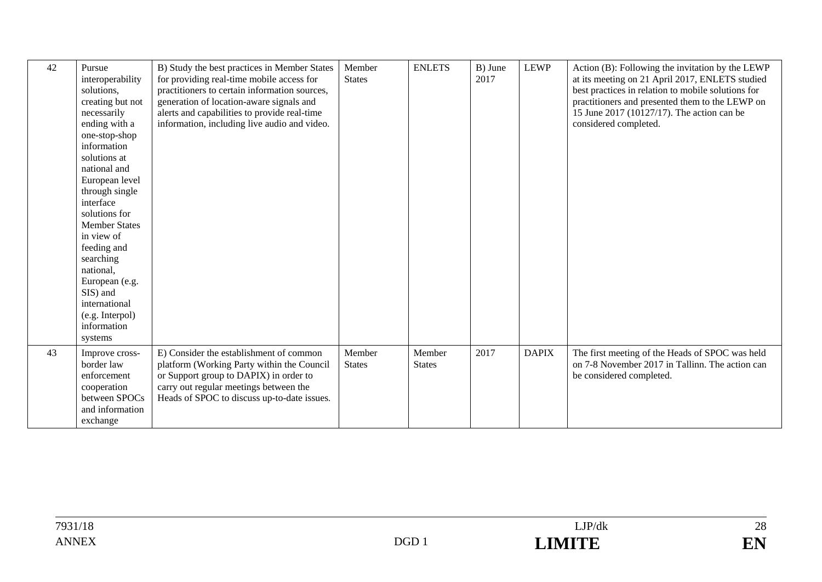| 42 | Pursue<br>interoperability<br>solutions,<br>creating but not<br>necessarily<br>ending with a<br>one-stop-shop<br>information<br>solutions at<br>national and<br>European level<br>through single<br>interface<br>solutions for<br><b>Member States</b><br>in view of<br>feeding and<br>searching<br>national,<br>European (e.g.<br>SIS) and<br>international<br>(e.g. Interpol)<br>information<br>systems | B) Study the best practices in Member States<br>for providing real-time mobile access for<br>practitioners to certain information sources,<br>generation of location-aware signals and<br>alerts and capabilities to provide real-time<br>information, including live audio and video. | Member<br><b>States</b> | <b>ENLETS</b>           | B) June<br>2017 | <b>LEWP</b>  | Action (B): Following the invitation by the LEWP<br>at its meeting on 21 April 2017, ENLETS studied<br>best practices in relation to mobile solutions for<br>practitioners and presented them to the LEWP on<br>15 June 2017 (10127/17). The action can be<br>considered completed. |
|----|-----------------------------------------------------------------------------------------------------------------------------------------------------------------------------------------------------------------------------------------------------------------------------------------------------------------------------------------------------------------------------------------------------------|----------------------------------------------------------------------------------------------------------------------------------------------------------------------------------------------------------------------------------------------------------------------------------------|-------------------------|-------------------------|-----------------|--------------|-------------------------------------------------------------------------------------------------------------------------------------------------------------------------------------------------------------------------------------------------------------------------------------|
| 43 | Improve cross-<br>border law<br>enforcement<br>cooperation<br>between SPOCs<br>and information<br>exchange                                                                                                                                                                                                                                                                                                | E) Consider the establishment of common<br>platform (Working Party within the Council<br>or Support group to DAPIX) in order to<br>carry out regular meetings between the<br>Heads of SPOC to discuss up-to-date issues.                                                               | Member<br><b>States</b> | Member<br><b>States</b> | 2017            | <b>DAPIX</b> | The first meeting of the Heads of SPOC was held<br>on 7-8 November 2017 in Tallinn. The action can<br>be considered completed.                                                                                                                                                      |

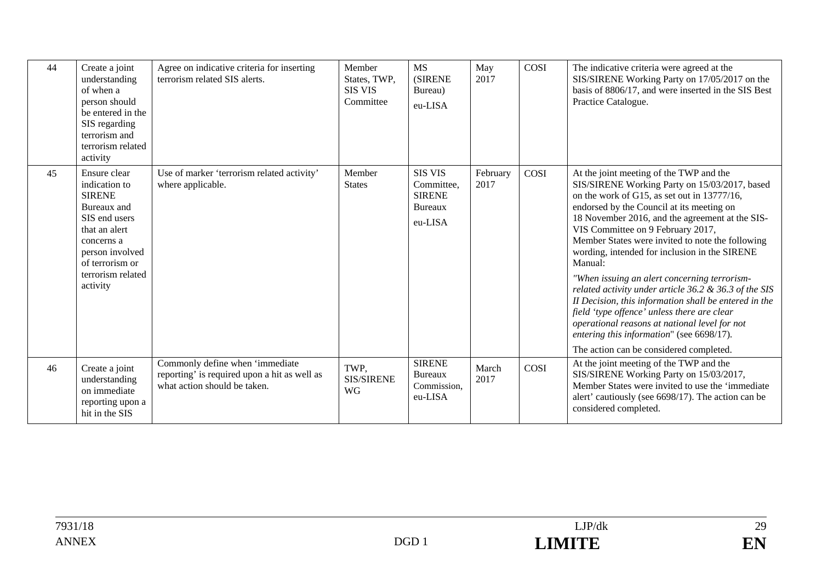| 44 | Create a joint<br>understanding<br>of when a<br>person should<br>be entered in the<br>SIS regarding<br>terrorism and<br>terrorism related<br>activity                                | Agree on indicative criteria for inserting<br>terrorism related SIS alerts.                                     | Member<br>States, TWP,<br><b>SIS VIS</b><br>Committee | <b>MS</b><br><b>(SIRENE)</b><br>Bureau)<br>eu-LISA                         | May<br>2017      | COSI | The indicative criteria were agreed at the<br>SIS/SIRENE Working Party on 17/05/2017 on the<br>basis of 8806/17, and were inserted in the SIS Best<br>Practice Catalogue.                                                                                                                                                                                                                                                                                                                                                                                                                                                                                                                                                                              |
|----|--------------------------------------------------------------------------------------------------------------------------------------------------------------------------------------|-----------------------------------------------------------------------------------------------------------------|-------------------------------------------------------|----------------------------------------------------------------------------|------------------|------|--------------------------------------------------------------------------------------------------------------------------------------------------------------------------------------------------------------------------------------------------------------------------------------------------------------------------------------------------------------------------------------------------------------------------------------------------------------------------------------------------------------------------------------------------------------------------------------------------------------------------------------------------------------------------------------------------------------------------------------------------------|
| 45 | Ensure clear<br>indication to<br><b>SIRENE</b><br>Bureaux and<br>SIS end users<br>that an alert<br>concerns a<br>person involved<br>of terrorism or<br>terrorism related<br>activity | Use of marker 'terrorism related activity'<br>where applicable.                                                 | Member<br><b>States</b>                               | <b>SIS VIS</b><br>Committee,<br><b>SIRENE</b><br><b>Bureaux</b><br>eu-LISA | February<br>2017 | COSI | At the joint meeting of the TWP and the<br>SIS/SIRENE Working Party on 15/03/2017, based<br>on the work of G15, as set out in 13777/16,<br>endorsed by the Council at its meeting on<br>18 November 2016, and the agreement at the SIS-<br>VIS Committee on 9 February 2017,<br>Member States were invited to note the following<br>wording, intended for inclusion in the SIRENE<br>Manual:<br>"When issuing an alert concerning terrorism-<br>related activity under article 36.2 & 36.3 of the SIS<br>II Decision, this information shall be entered in the<br>field 'type offence' unless there are clear<br>operational reasons at national level for not<br>entering this information" (see 6698/17).<br>The action can be considered completed. |
| 46 | Create a joint<br>understanding<br>on immediate<br>reporting upon a<br>hit in the SIS                                                                                                | Commonly define when 'immediate<br>reporting' is required upon a hit as well as<br>what action should be taken. | TWP.<br><b>SIS/SIRENE</b><br><b>WG</b>                | <b>SIRENE</b><br>Bureaux<br>Commission,<br>eu-LISA                         | March<br>2017    | COSI | At the joint meeting of the TWP and the<br>SIS/SIRENE Working Party on 15/03/2017,<br>Member States were invited to use the 'immediate<br>alert' cautiously (see 6698/17). The action can be<br>considered completed.                                                                                                                                                                                                                                                                                                                                                                                                                                                                                                                                  |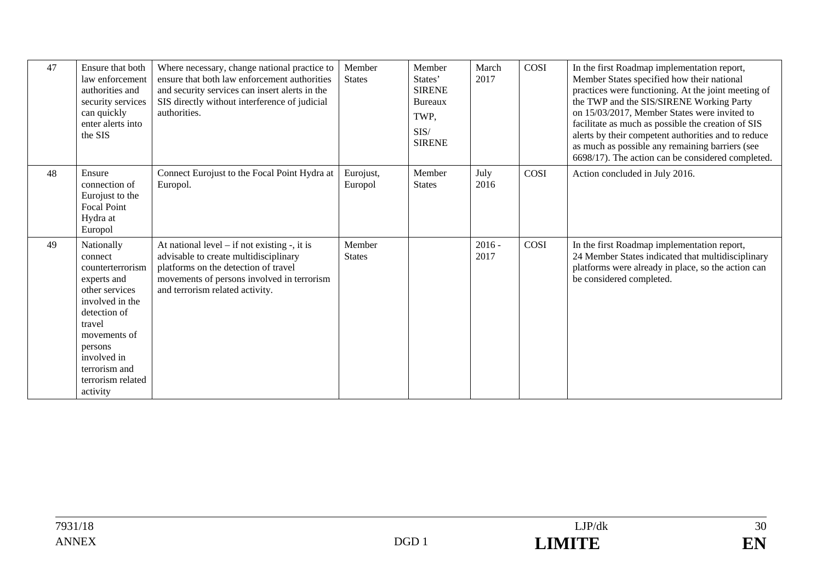| 47 | Ensure that both<br>law enforcement<br>authorities and<br>security services<br>can quickly<br>enter alerts into<br>the SIS                                                                                          | Where necessary, change national practice to<br>ensure that both law enforcement authorities<br>and security services can insert alerts in the<br>SIS directly without interference of judicial<br>authorities.     | Member<br><b>States</b> | Member<br>States'<br><b>SIRENE</b><br><b>Bureaux</b><br>TWP,<br>SIS/<br><b>SIRENE</b> | March<br>2017    | COSI | In the first Roadmap implementation report,<br>Member States specified how their national<br>practices were functioning. At the joint meeting of<br>the TWP and the SIS/SIRENE Working Party<br>on 15/03/2017, Member States were invited to<br>facilitate as much as possible the creation of SIS<br>alerts by their competent authorities and to reduce<br>as much as possible any remaining barriers (see<br>6698/17). The action can be considered completed. |
|----|---------------------------------------------------------------------------------------------------------------------------------------------------------------------------------------------------------------------|---------------------------------------------------------------------------------------------------------------------------------------------------------------------------------------------------------------------|-------------------------|---------------------------------------------------------------------------------------|------------------|------|-------------------------------------------------------------------------------------------------------------------------------------------------------------------------------------------------------------------------------------------------------------------------------------------------------------------------------------------------------------------------------------------------------------------------------------------------------------------|
| 48 | Ensure<br>connection of<br>Eurojust to the<br><b>Focal Point</b><br>Hydra at<br>Europol                                                                                                                             | Connect Eurojust to the Focal Point Hydra at<br>Europol.                                                                                                                                                            | Eurojust,<br>Europol    | Member<br><b>States</b>                                                               | July<br>2016     | COSI | Action concluded in July 2016.                                                                                                                                                                                                                                                                                                                                                                                                                                    |
| 49 | Nationally<br>connect<br>counterterrorism<br>experts and<br>other services<br>involved in the<br>detection of<br>travel<br>movements of<br>persons<br>involved in<br>terrorism and<br>terrorism related<br>activity | At national level $-$ if not existing $-$ , it is<br>advisable to create multidisciplinary<br>platforms on the detection of travel<br>movements of persons involved in terrorism<br>and terrorism related activity. | Member<br><b>States</b> |                                                                                       | $2016 -$<br>2017 | COSI | In the first Roadmap implementation report,<br>24 Member States indicated that multidisciplinary<br>platforms were already in place, so the action can<br>be considered completed.                                                                                                                                                                                                                                                                                |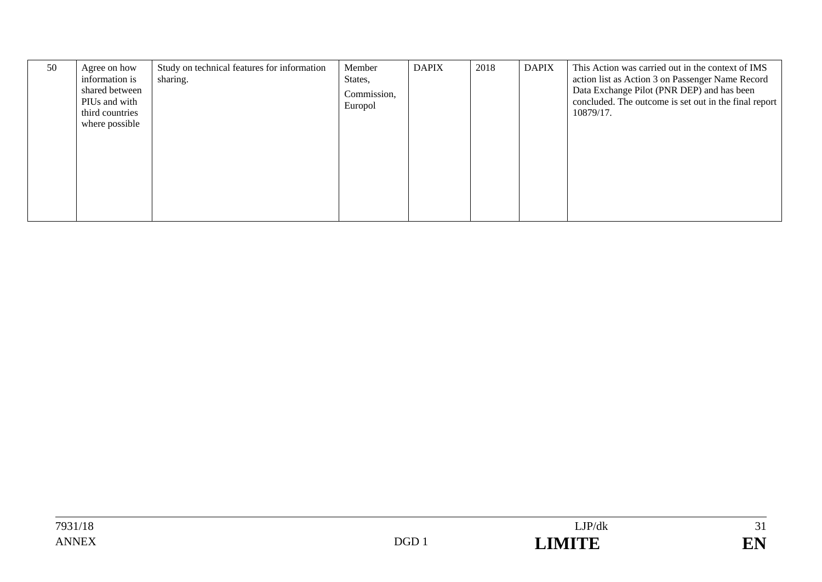| 50 | Agree on how<br>information is<br>shared between<br>PIUs and with<br>third countries<br>where possible | Study on technical features for information<br>sharing. | Member<br>States,<br>Commission,<br>Europol | <b>DAPIX</b> | 2018 | <b>DAPIX</b> | This Action was carried out in the context of IMS<br>action list as Action 3 on Passenger Name Record<br>Data Exchange Pilot (PNR DEP) and has been<br>concluded. The outcome is set out in the final report<br>10879/17. |
|----|--------------------------------------------------------------------------------------------------------|---------------------------------------------------------|---------------------------------------------|--------------|------|--------------|---------------------------------------------------------------------------------------------------------------------------------------------------------------------------------------------------------------------------|
|    |                                                                                                        |                                                         |                                             |              |      |              |                                                                                                                                                                                                                           |

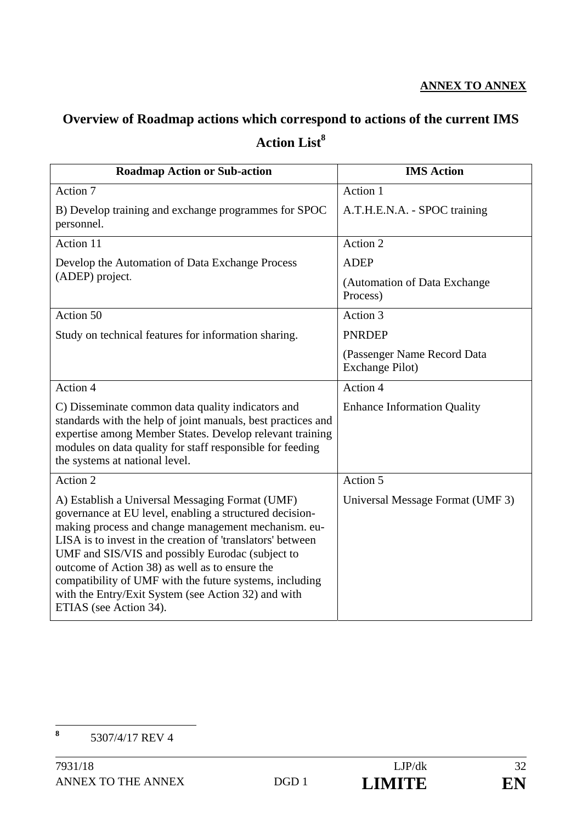### **ANNEX TO ANNEX**

# **Overview of Roadmap actions which correspond to actions of the current IMS**  Action List<sup>8</sup>

| <b>Roadmap Action or Sub-action</b>                                                                                                                                                                                                                                                                                                                                                                                                                                               | <b>IMS</b> Action                              |
|-----------------------------------------------------------------------------------------------------------------------------------------------------------------------------------------------------------------------------------------------------------------------------------------------------------------------------------------------------------------------------------------------------------------------------------------------------------------------------------|------------------------------------------------|
| Action 7                                                                                                                                                                                                                                                                                                                                                                                                                                                                          | Action 1                                       |
| B) Develop training and exchange programmes for SPOC<br>personnel.                                                                                                                                                                                                                                                                                                                                                                                                                | A.T.H.E.N.A. - SPOC training                   |
| Action 11                                                                                                                                                                                                                                                                                                                                                                                                                                                                         | Action 2                                       |
| Develop the Automation of Data Exchange Process                                                                                                                                                                                                                                                                                                                                                                                                                                   | <b>ADEP</b>                                    |
| (ADEP) project.                                                                                                                                                                                                                                                                                                                                                                                                                                                                   | (Automation of Data Exchange<br>Process)       |
| Action 50                                                                                                                                                                                                                                                                                                                                                                                                                                                                         | Action 3                                       |
| Study on technical features for information sharing.                                                                                                                                                                                                                                                                                                                                                                                                                              | <b>PNRDEP</b>                                  |
|                                                                                                                                                                                                                                                                                                                                                                                                                                                                                   | (Passenger Name Record Data<br>Exchange Pilot) |
| Action 4                                                                                                                                                                                                                                                                                                                                                                                                                                                                          | Action 4                                       |
| C) Disseminate common data quality indicators and<br>standards with the help of joint manuals, best practices and<br>expertise among Member States. Develop relevant training<br>modules on data quality for staff responsible for feeding<br>the systems at national level.                                                                                                                                                                                                      | <b>Enhance Information Quality</b>             |
| Action 2                                                                                                                                                                                                                                                                                                                                                                                                                                                                          | Action 5                                       |
| A) Establish a Universal Messaging Format (UMF)<br>governance at EU level, enabling a structured decision-<br>making process and change management mechanism. eu-<br>LISA is to invest in the creation of 'translators' between<br>UMF and SIS/VIS and possibly Eurodac (subject to<br>outcome of Action 38) as well as to ensure the<br>compatibility of UMF with the future systems, including<br>with the Entry/Exit System (see Action 32) and with<br>ETIAS (see Action 34). | Universal Message Format (UMF 3)               |

 **8** 5307/4/17 REV 4